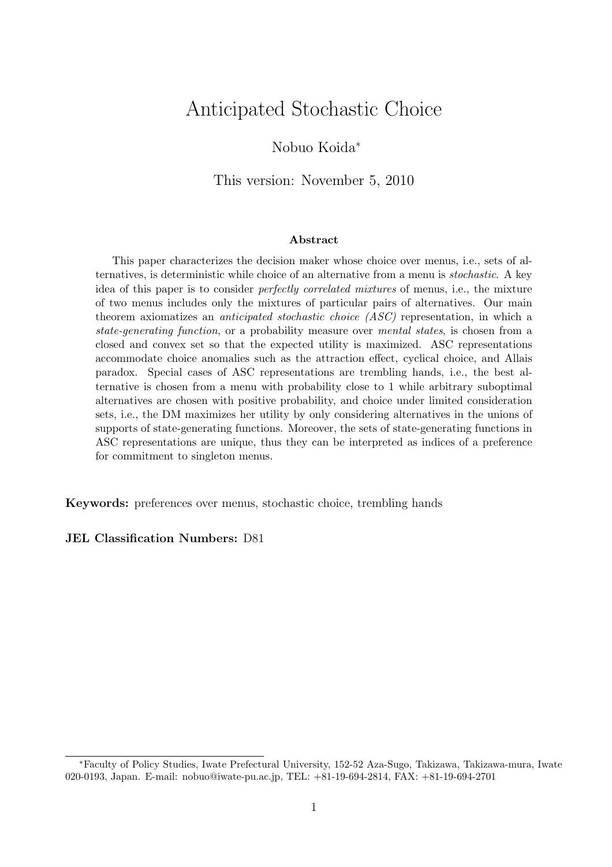# Anticipated Stochastic Choice

### Nobuo Koida<sup>∗</sup>

This version: November 5, 2010

#### Abstract

This paper characterizes the decision maker whose choice over menus, i.e., sets of alternatives, is deterministic while choice of an alternative from a menu is stochastic. A key idea of this paper is to consider perfectly correlated mixtures of menus, i.e., the mixture of two menus includes only the mixtures of particular pairs of alternatives. Our main theorem axiomatizes an *anticipated stochastic choice (ASC)* representation, in which a state-generating function, or a probability measure over mental states, is chosen from a closed and convex set so that the expected utility is maximized. ASC representations accommodate choice anomalies such as the attraction effect, cyclical choice, and Allais paradox. Special cases of ASC representations are trembling hands, i.e., the best alternative is chosen from a menu with probability close to 1 while arbitrary suboptimal alternatives are chosen with positive probability, and choice under limited consideration sets, i.e., the DM maximizes her utility by only considering alternatives in the unions of supports of state-generating functions. Moreover, the sets of state-generating functions in ASC representations are unique, thus they can be interpreted as indices of a preference for commitment to singleton menus.

Keywords: preferences over menus, stochastic choice, trembling hands

### JEL Classification Numbers: D81

<sup>∗</sup>Faculty of Policy Studies, Iwate Prefectural University, 152-52 Aza-Sugo, Takizawa, Takizawa-mura, Iwate 020-0193, Japan. E-mail: nobuo@iwate-pu.ac.jp, TEL: +81-19-694-2814, FAX: +81-19-694-2701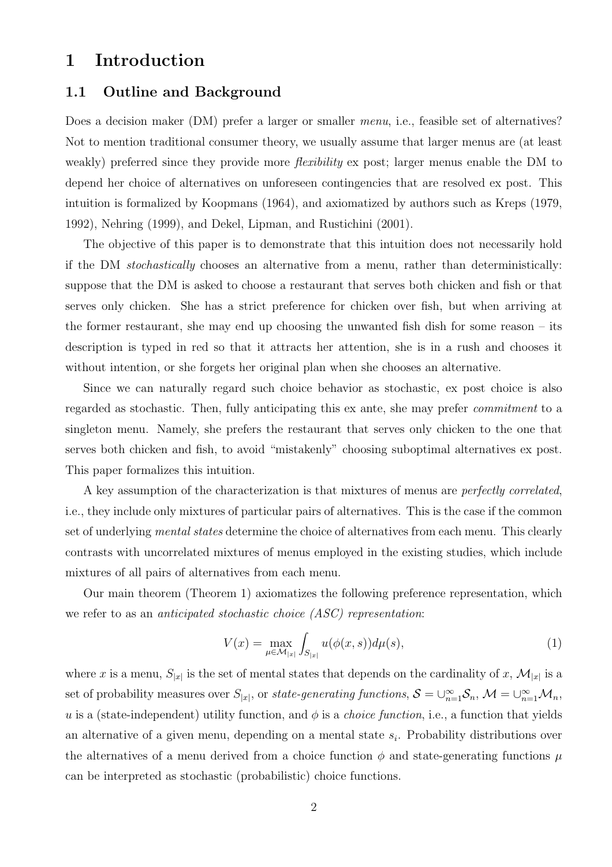# 1 Introduction

### 1.1 Outline and Background

Does a decision maker (DM) prefer a larger or smaller *menu*, i.e., feasible set of alternatives? Not to mention traditional consumer theory, we usually assume that larger menus are (at least weakly) preferred since they provide more *flexibility* ex post; larger menus enable the DM to depend her choice of alternatives on unforeseen contingencies that are resolved ex post. This intuition is formalized by Koopmans (1964), and axiomatized by authors such as Kreps (1979, 1992), Nehring (1999), and Dekel, Lipman, and Rustichini (2001).

The objective of this paper is to demonstrate that this intuition does not necessarily hold if the DM stochastically chooses an alternative from a menu, rather than deterministically: suppose that the DM is asked to choose a restaurant that serves both chicken and fish or that serves only chicken. She has a strict preference for chicken over fish, but when arriving at the former restaurant, she may end up choosing the unwanted fish dish for some reason – its description is typed in red so that it attracts her attention, she is in a rush and chooses it without intention, or she forgets her original plan when she chooses an alternative.

Since we can naturally regard such choice behavior as stochastic, ex post choice is also regarded as stochastic. Then, fully anticipating this ex ante, she may prefer commitment to a singleton menu. Namely, she prefers the restaurant that serves only chicken to the one that serves both chicken and fish, to avoid "mistakenly" choosing suboptimal alternatives ex post. This paper formalizes this intuition.

A key assumption of the characterization is that mixtures of menus are perfectly correlated, i.e., they include only mixtures of particular pairs of alternatives. This is the case if the common set of underlying *mental states* determine the choice of alternatives from each menu. This clearly contrasts with uncorrelated mixtures of menus employed in the existing studies, which include mixtures of all pairs of alternatives from each menu.

Our main theorem (Theorem 1) axiomatizes the following preference representation, which we refer to as an *anticipated stochastic choice (ASC)* representation:

$$
V(x) = \max_{\mu \in \mathcal{M}_{|x|}} \int_{S_{|x|}} u(\phi(x, s)) d\mu(s), \tag{1}
$$

where x is a menu,  $S_{|x|}$  is the set of mental states that depends on the cardinality of x,  $\mathcal{M}_{|x|}$  is a set of probability measures over  $S_{|x|}$ , or state-generating functions,  $S = \bigcup_{n=1}^{\infty} S_n$ ,  $\mathcal{M} = \bigcup_{n=1}^{\infty} \mathcal{M}_n$ , u is a (state-independent) utility function, and  $\phi$  is a *choice function*, i.e., a function that yields an alternative of a given menu, depending on a mental state  $s_i$ . Probability distributions over the alternatives of a menu derived from a choice function  $\phi$  and state-generating functions  $\mu$ can be interpreted as stochastic (probabilistic) choice functions.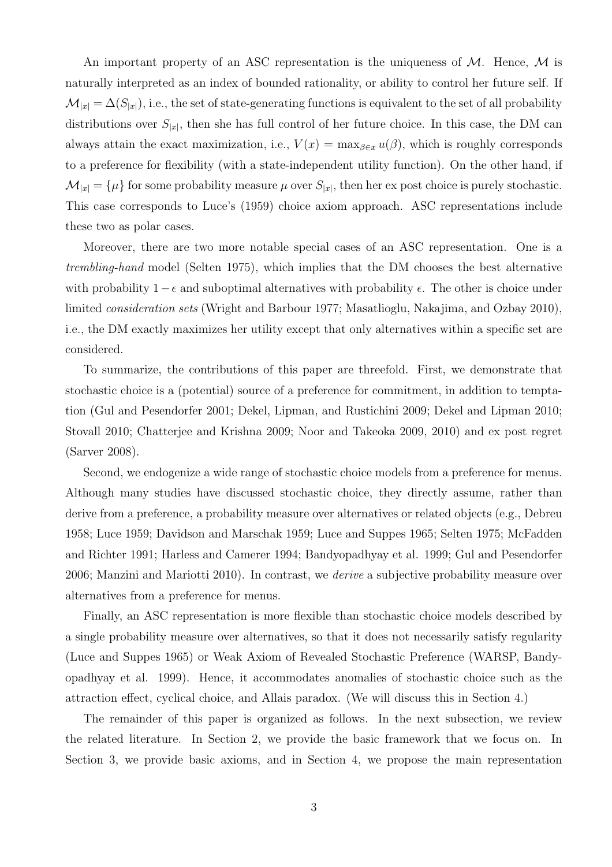An important property of an ASC representation is the uniqueness of  $M$ . Hence,  $M$  is naturally interpreted as an index of bounded rationality, or ability to control her future self. If  $\mathcal{M}_{|x|} = \Delta(S_{|x|})$ , i.e., the set of state-generating functions is equivalent to the set of all probability distributions over  $S_{|x|}$ , then she has full control of her future choice. In this case, the DM can always attain the exact maximization, i.e.,  $V(x) = \max_{\beta \in x} u(\beta)$ , which is roughly corresponds to a preference for flexibility (with a state-independent utility function). On the other hand, if  $\mathcal{M}_{|x|} = {\mu}$  for some probability measure  $\mu$  over  $S_{|x|}$ , then her ex post choice is purely stochastic. This case corresponds to Luce's (1959) choice axiom approach. ASC representations include these two as polar cases.

Moreover, there are two more notable special cases of an ASC representation. One is a trembling-hand model (Selten 1975), which implies that the DM chooses the best alternative with probability  $1-\epsilon$  and suboptimal alternatives with probability  $\epsilon$ . The other is choice under limited consideration sets (Wright and Barbour 1977; Masatlioglu, Nakajima, and Ozbay 2010), i.e., the DM exactly maximizes her utility except that only alternatives within a specific set are considered.

To summarize, the contributions of this paper are threefold. First, we demonstrate that stochastic choice is a (potential) source of a preference for commitment, in addition to temptation (Gul and Pesendorfer 2001; Dekel, Lipman, and Rustichini 2009; Dekel and Lipman 2010; Stovall 2010; Chatterjee and Krishna 2009; Noor and Takeoka 2009, 2010) and ex post regret (Sarver 2008).

Second, we endogenize a wide range of stochastic choice models from a preference for menus. Although many studies have discussed stochastic choice, they directly assume, rather than derive from a preference, a probability measure over alternatives or related objects (e.g., Debreu 1958; Luce 1959; Davidson and Marschak 1959; Luce and Suppes 1965; Selten 1975; McFadden and Richter 1991; Harless and Camerer 1994; Bandyopadhyay et al. 1999; Gul and Pesendorfer 2006; Manzini and Mariotti 2010). In contrast, we *derive* a subjective probability measure over alternatives from a preference for menus.

Finally, an ASC representation is more flexible than stochastic choice models described by a single probability measure over alternatives, so that it does not necessarily satisfy regularity (Luce and Suppes 1965) or Weak Axiom of Revealed Stochastic Preference (WARSP, Bandyopadhyay et al. 1999). Hence, it accommodates anomalies of stochastic choice such as the attraction effect, cyclical choice, and Allais paradox. (We will discuss this in Section 4.)

The remainder of this paper is organized as follows. In the next subsection, we review the related literature. In Section 2, we provide the basic framework that we focus on. In Section 3, we provide basic axioms, and in Section 4, we propose the main representation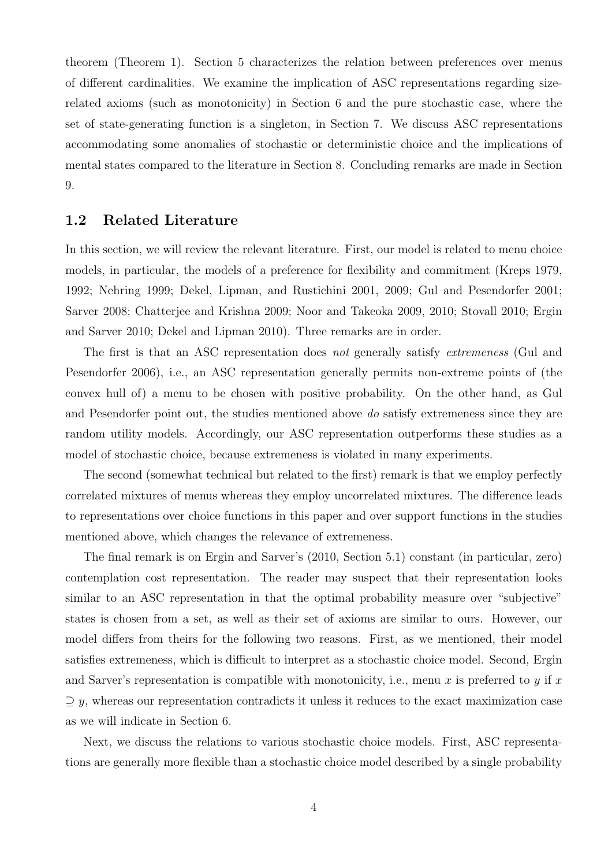theorem (Theorem 1). Section 5 characterizes the relation between preferences over menus of different cardinalities. We examine the implication of ASC representations regarding sizerelated axioms (such as monotonicity) in Section 6 and the pure stochastic case, where the set of state-generating function is a singleton, in Section 7. We discuss ASC representations accommodating some anomalies of stochastic or deterministic choice and the implications of mental states compared to the literature in Section 8. Concluding remarks are made in Section 9.

### 1.2 Related Literature

In this section, we will review the relevant literature. First, our model is related to menu choice models, in particular, the models of a preference for flexibility and commitment (Kreps 1979, 1992; Nehring 1999; Dekel, Lipman, and Rustichini 2001, 2009; Gul and Pesendorfer 2001; Sarver 2008; Chatterjee and Krishna 2009; Noor and Takeoka 2009, 2010; Stovall 2010; Ergin and Sarver 2010; Dekel and Lipman 2010). Three remarks are in order.

The first is that an ASC representation does not generally satisfy extremeness (Gul and Pesendorfer 2006), i.e., an ASC representation generally permits non-extreme points of (the convex hull of) a menu to be chosen with positive probability. On the other hand, as Gul and Pesendorfer point out, the studies mentioned above do satisfy extremeness since they are random utility models. Accordingly, our ASC representation outperforms these studies as a model of stochastic choice, because extremeness is violated in many experiments.

The second (somewhat technical but related to the first) remark is that we employ perfectly correlated mixtures of menus whereas they employ uncorrelated mixtures. The difference leads to representations over choice functions in this paper and over support functions in the studies mentioned above, which changes the relevance of extremeness.

The final remark is on Ergin and Sarver's (2010, Section 5.1) constant (in particular, zero) contemplation cost representation. The reader may suspect that their representation looks similar to an ASC representation in that the optimal probability measure over "subjective" states is chosen from a set, as well as their set of axioms are similar to ours. However, our model differs from theirs for the following two reasons. First, as we mentioned, their model satisfies extremeness, which is difficult to interpret as a stochastic choice model. Second, Ergin and Sarver's representation is compatible with monotonicity, i.e., menu x is preferred to y if x  $\supset$  y, whereas our representation contradicts it unless it reduces to the exact maximization case as we will indicate in Section 6.

Next, we discuss the relations to various stochastic choice models. First, ASC representations are generally more flexible than a stochastic choice model described by a single probability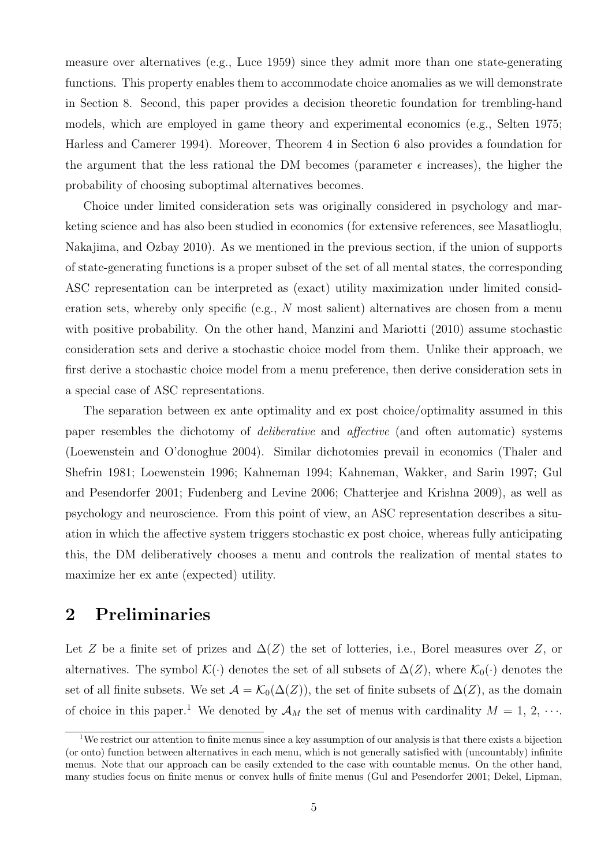measure over alternatives (e.g., Luce 1959) since they admit more than one state-generating functions. This property enables them to accommodate choice anomalies as we will demonstrate in Section 8. Second, this paper provides a decision theoretic foundation for trembling-hand models, which are employed in game theory and experimental economics (e.g., Selten 1975; Harless and Camerer 1994). Moreover, Theorem 4 in Section 6 also provides a foundation for the argument that the less rational the DM becomes (parameter  $\epsilon$  increases), the higher the probability of choosing suboptimal alternatives becomes.

Choice under limited consideration sets was originally considered in psychology and marketing science and has also been studied in economics (for extensive references, see Masatlioglu, Nakajima, and Ozbay 2010). As we mentioned in the previous section, if the union of supports of state-generating functions is a proper subset of the set of all mental states, the corresponding ASC representation can be interpreted as (exact) utility maximization under limited consideration sets, whereby only specific (e.g.,  $N$  most salient) alternatives are chosen from a menu with positive probability. On the other hand, Manzini and Mariotti (2010) assume stochastic consideration sets and derive a stochastic choice model from them. Unlike their approach, we first derive a stochastic choice model from a menu preference, then derive consideration sets in a special case of ASC representations.

The separation between ex ante optimality and ex post choice/optimality assumed in this paper resembles the dichotomy of deliberative and affective (and often automatic) systems (Loewenstein and O'donoghue 2004). Similar dichotomies prevail in economics (Thaler and Shefrin 1981; Loewenstein 1996; Kahneman 1994; Kahneman, Wakker, and Sarin 1997; Gul and Pesendorfer 2001; Fudenberg and Levine 2006; Chatterjee and Krishna 2009), as well as psychology and neuroscience. From this point of view, an ASC representation describes a situation in which the affective system triggers stochastic ex post choice, whereas fully anticipating this, the DM deliberatively chooses a menu and controls the realization of mental states to maximize her ex ante (expected) utility.

## 2 Preliminaries

Let Z be a finite set of prizes and  $\Delta(Z)$  the set of lotteries, i.e., Borel measures over Z, or alternatives. The symbol  $\mathcal{K}(\cdot)$  denotes the set of all subsets of  $\Delta(Z)$ , where  $\mathcal{K}_0(\cdot)$  denotes the set of all finite subsets. We set  $\mathcal{A} = \mathcal{K}_0(\Delta(Z))$ , the set of finite subsets of  $\Delta(Z)$ , as the domain of choice in this paper.<sup>1</sup> We denoted by  $\mathcal{A}_M$  the set of menus with cardinality  $M = 1, 2, \cdots$ .

<sup>&</sup>lt;sup>1</sup>We restrict our attention to finite menus since a key assumption of our analysis is that there exists a bijection (or onto) function between alternatives in each menu, which is not generally satisfied with (uncountably) infinite menus. Note that our approach can be easily extended to the case with countable menus. On the other hand, many studies focus on finite menus or convex hulls of finite menus (Gul and Pesendorfer 2001; Dekel, Lipman,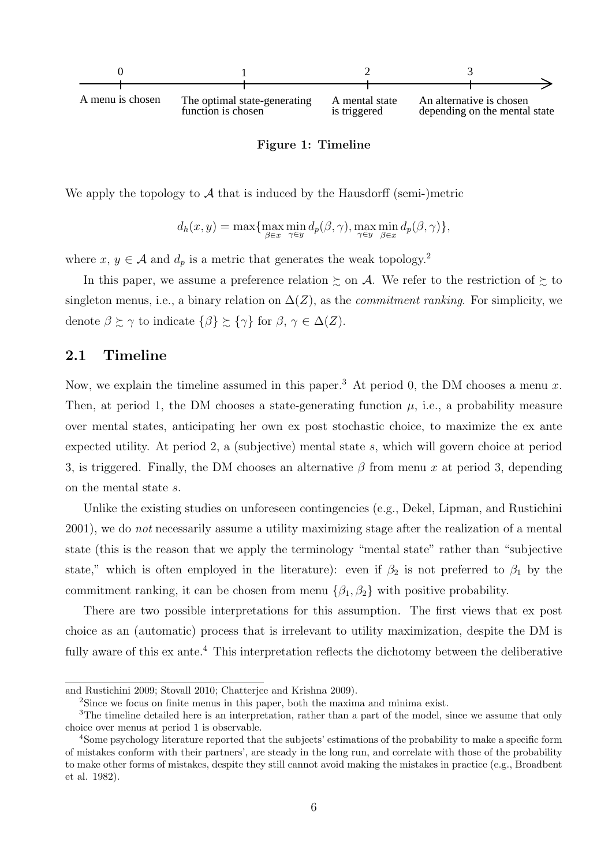

#### Figure 1: Timeline

We apply the topology to  $\mathcal A$  that is induced by the Hausdorff (semi-)metric

$$
d_h(x, y) = \max\{\max_{\beta \in x} \min_{\gamma \in y} d_p(\beta, \gamma), \max_{\gamma \in y} \min_{\beta \in x} d_p(\beta, \gamma)\},\
$$

where  $x, y \in A$  and  $d_p$  is a metric that generates the weak topology.<sup>2</sup>

In this paper, we assume a preference relation  $\succsim$  on A. We refer to the restriction of  $\succsim$  to singleton menus, i.e., a binary relation on  $\Delta(Z)$ , as the *commitment ranking*. For simplicity, we denote  $\beta \succeq \gamma$  to indicate  $\{\beta\} \succeq \{\gamma\}$  for  $\beta, \gamma \in \Delta(Z)$ .

### 2.1 Timeline

Now, we explain the timeline assumed in this paper.<sup>3</sup> At period 0, the DM chooses a menu x. Then, at period 1, the DM chooses a state-generating function  $\mu$ , i.e., a probability measure over mental states, anticipating her own ex post stochastic choice, to maximize the ex ante expected utility. At period 2, a (subjective) mental state s, which will govern choice at period 3, is triggered. Finally, the DM chooses an alternative  $\beta$  from menu x at period 3, depending on the mental state s.

Unlike the existing studies on unforeseen contingencies (e.g., Dekel, Lipman, and Rustichini 2001), we do not necessarily assume a utility maximizing stage after the realization of a mental state (this is the reason that we apply the terminology "mental state" rather than "subjective state," which is often employed in the literature): even if  $\beta_2$  is not preferred to  $\beta_1$  by the commitment ranking, it can be chosen from menu  $\{\beta_1, \beta_2\}$  with positive probability.

There are two possible interpretations for this assumption. The first views that ex post choice as an (automatic) process that is irrelevant to utility maximization, despite the DM is fully aware of this ex ante.<sup>4</sup> This interpretation reflects the dichotomy between the deliberative

and Rustichini 2009; Stovall 2010; Chatterjee and Krishna 2009).

<sup>2</sup>Since we focus on finite menus in this paper, both the maxima and minima exist.

<sup>&</sup>lt;sup>3</sup>The timeline detailed here is an interpretation, rather than a part of the model, since we assume that only choice over menus at period 1 is observable.

<sup>4</sup>Some psychology literature reported that the subjects' estimations of the probability to make a specific form of mistakes conform with their partners', are steady in the long run, and correlate with those of the probability to make other forms of mistakes, despite they still cannot avoid making the mistakes in practice (e.g., Broadbent et al. 1982).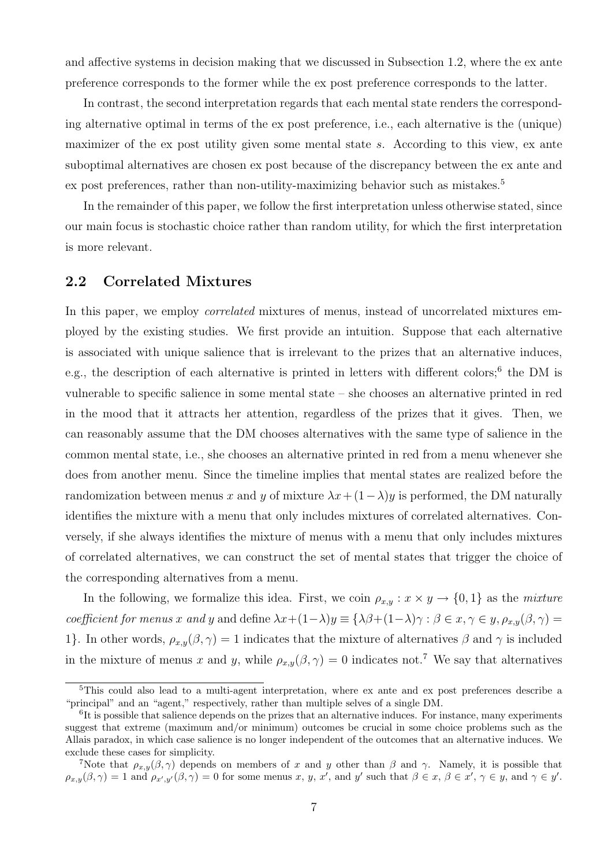and affective systems in decision making that we discussed in Subsection 1.2, where the ex ante preference corresponds to the former while the ex post preference corresponds to the latter.

In contrast, the second interpretation regards that each mental state renders the corresponding alternative optimal in terms of the ex post preference, i.e., each alternative is the (unique) maximizer of the ex post utility given some mental state s. According to this view, ex ante suboptimal alternatives are chosen ex post because of the discrepancy between the ex ante and ex post preferences, rather than non-utility-maximizing behavior such as mistakes.<sup>5</sup>

In the remainder of this paper, we follow the first interpretation unless otherwise stated, since our main focus is stochastic choice rather than random utility, for which the first interpretation is more relevant.

### 2.2 Correlated Mixtures

In this paper, we employ *correlated* mixtures of menus, instead of uncorrelated mixtures employed by the existing studies. We first provide an intuition. Suppose that each alternative is associated with unique salience that is irrelevant to the prizes that an alternative induces, e.g., the description of each alternative is printed in letters with different colors;<sup>6</sup> the DM is vulnerable to specific salience in some mental state – she chooses an alternative printed in red in the mood that it attracts her attention, regardless of the prizes that it gives. Then, we can reasonably assume that the DM chooses alternatives with the same type of salience in the common mental state, i.e., she chooses an alternative printed in red from a menu whenever she does from another menu. Since the timeline implies that mental states are realized before the randomization between menus x and y of mixture  $\lambda x + (1 - \lambda)y$  is performed, the DM naturally identifies the mixture with a menu that only includes mixtures of correlated alternatives. Conversely, if she always identifies the mixture of menus with a menu that only includes mixtures of correlated alternatives, we can construct the set of mental states that trigger the choice of the corresponding alternatives from a menu.

In the following, we formalize this idea. First, we coin  $\rho_{x,y} : x \times y \to \{0,1\}$  as the mixture coefficient for menus x and y and define  $\lambda x+(1-\lambda)y \equiv {\lambda\beta+(1-\lambda)\gamma} : \beta \in x, \gamma \in y, \rho_{x,y}(\beta, \gamma) =$ 1}. In other words,  $\rho_{x,y}(\beta, \gamma) = 1$  indicates that the mixture of alternatives  $\beta$  and  $\gamma$  is included in the mixture of menus x and y, while  $\rho_{x,y}(\beta, \gamma) = 0$  indicates not.<sup>7</sup> We say that alternatives

<sup>5</sup>This could also lead to a multi-agent interpretation, where ex ante and ex post preferences describe a "principal" and an "agent," respectively, rather than multiple selves of a single DM.

 ${}^{6}$ It is possible that salience depends on the prizes that an alternative induces. For instance, many experiments suggest that extreme (maximum and/or minimum) outcomes be crucial in some choice problems such as the Allais paradox, in which case salience is no longer independent of the outcomes that an alternative induces. We exclude these cases for simplicity.

<sup>&</sup>lt;sup>7</sup>Note that  $\rho_{x,y}(\beta, \gamma)$  depends on members of x and y other than  $\beta$  and  $\gamma$ . Namely, it is possible that  $\rho_{x,y}(\beta,\gamma) = 1$  and  $\rho_{x',y'}(\beta,\gamma) = 0$  for some menus x, y, x', and y' such that  $\beta \in x, \beta \in x', \gamma \in y$ , and  $\gamma \in y'$ .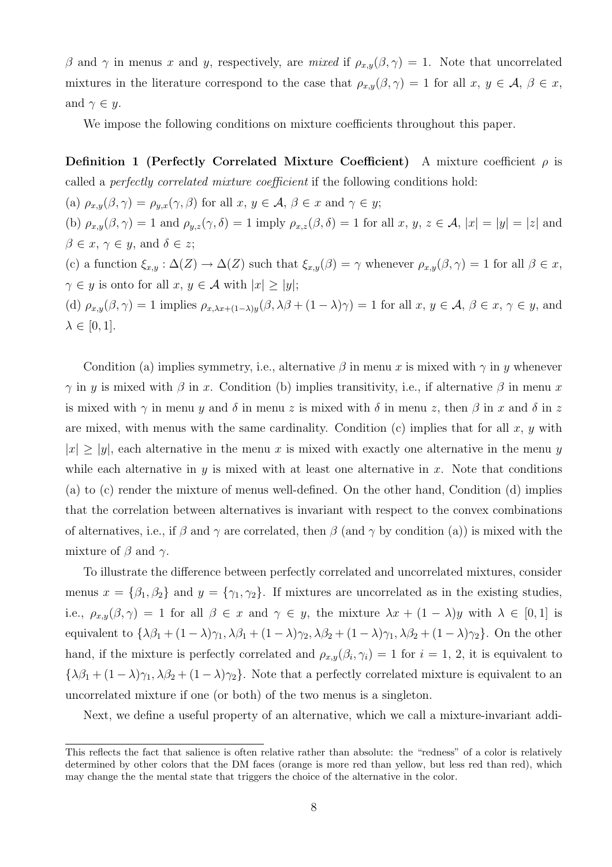β and  $\gamma$  in menus x and y, respectively, are mixed if  $\rho_{x,y}(\beta, \gamma) = 1$ . Note that uncorrelated mixtures in the literature correspond to the case that  $\rho_{x,y}(\beta, \gamma) = 1$  for all  $x, y \in A, \beta \in x$ , and  $\gamma \in y$ .

We impose the following conditions on mixture coefficients throughout this paper.

**Definition 1 (Perfectly Correlated Mixture Coefficient)** A mixture coefficient  $\rho$  is called a perfectly correlated mixture coefficient if the following conditions hold:

(a)  $\rho_{x,y}(\beta, \gamma) = \rho_{y,x}(\gamma, \beta)$  for all  $x, y \in A, \beta \in x$  and  $\gamma \in y$ ; (b)  $\rho_{x,y}(\beta, \gamma) = 1$  and  $\rho_{y,z}(\gamma, \delta) = 1$  imply  $\rho_{x,z}(\beta, \delta) = 1$  for all  $x, y, z \in \mathcal{A}$ ,  $|x| = |y| = |z|$  and  $\beta \in x, \gamma \in y$ , and  $\delta \in z$ ; (c) a function  $\xi_{x,y} : \Delta(Z) \to \Delta(Z)$  such that  $\xi_{x,y}(\beta) = \gamma$  whenever  $\rho_{x,y}(\beta, \gamma) = 1$  for all  $\beta \in x$ ,  $\gamma \in y$  is onto for all  $x, y \in \mathcal{A}$  with  $|x| \ge |y|$ ; (d)  $\rho_{x,y}(\beta, \gamma) = 1$  implies  $\rho_{x,\lambda x + (1-\lambda)y}(\beta, \lambda \beta + (1-\lambda)\gamma) = 1$  for all  $x, y \in \mathcal{A}, \beta \in x, \gamma \in y$ , and  $\lambda \in [0,1].$ 

Condition (a) implies symmetry, i.e., alternative  $\beta$  in menu x is mixed with  $\gamma$  in y whenever  $\gamma$  in y is mixed with  $\beta$  in x. Condition (b) implies transitivity, i.e., if alternative  $\beta$  in menu x is mixed with  $\gamma$  in menu y and  $\delta$  in menu z is mixed with  $\delta$  in menu z, then  $\beta$  in x and  $\delta$  in z are mixed, with menus with the same cardinality. Condition  $(c)$  implies that for all x, y with  $|x| \ge |y|$ , each alternative in the menu x is mixed with exactly one alternative in the menu y while each alternative in y is mixed with at least one alternative in x. Note that conditions (a) to (c) render the mixture of menus well-defined. On the other hand, Condition (d) implies that the correlation between alternatives is invariant with respect to the convex combinations of alternatives, i.e., if  $\beta$  and  $\gamma$  are correlated, then  $\beta$  (and  $\gamma$  by condition (a)) is mixed with the mixture of  $\beta$  and  $\gamma$ .

To illustrate the difference between perfectly correlated and uncorrelated mixtures, consider menus  $x = {\beta_1, \beta_2}$  and  $y = {\gamma_1, \gamma_2}$ . If mixtures are uncorrelated as in the existing studies, i.e.,  $\rho_{x,y}(\beta, \gamma) = 1$  for all  $\beta \in x$  and  $\gamma \in y$ , the mixture  $\lambda x + (1 - \lambda)y$  with  $\lambda \in [0, 1]$  is equivalent to  $\{\lambda\beta_1 + (1-\lambda)\gamma_1, \lambda\beta_1 + (1-\lambda)\gamma_2, \lambda\beta_2 + (1-\lambda)\gamma_1, \lambda\beta_2 + (1-\lambda)\gamma_2\}$ . On the other hand, if the mixture is perfectly correlated and  $\rho_{x,y}(\beta_i, \gamma_i) = 1$  for  $i = 1, 2$ , it is equivalent to  ${\lambda\beta_1 + (1-\lambda)\gamma_1, \lambda\beta_2 + (1-\lambda)\gamma_2}.$  Note that a perfectly correlated mixture is equivalent to an uncorrelated mixture if one (or both) of the two menus is a singleton.

Next, we define a useful property of an alternative, which we call a mixture-invariant addi-

This reflects the fact that salience is often relative rather than absolute: the "redness" of a color is relatively determined by other colors that the DM faces (orange is more red than yellow, but less red than red), which may change the the mental state that triggers the choice of the alternative in the color.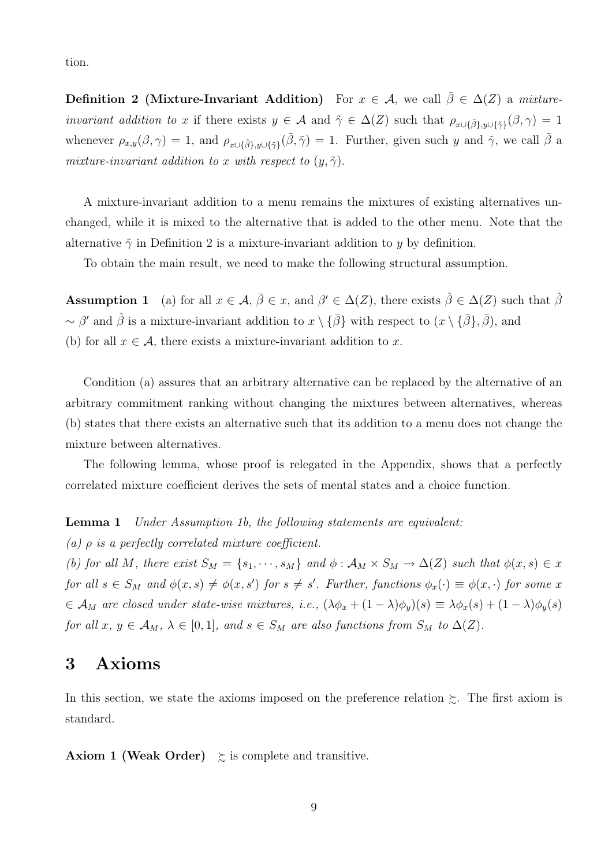tion.

**Definition 2 (Mixture-Invariant Addition)** For  $x \in \mathcal{A}$ , we call  $\tilde{\beta} \in \Delta(Z)$  a mixture*invariant addition to x* if there exists  $y \in \mathcal{A}$  and  $\tilde{\gamma} \in \Delta(Z)$  such that  $\rho_{x \cup \{\tilde{\beta}\}, y \cup \{\tilde{\gamma}\}}(\beta, \gamma) = 1$ whenever  $\rho_{x,y}(\beta, \gamma) = 1$ , and  $\rho_{x \cup \{\tilde{\beta}\}, y \cup \{\tilde{\gamma}\}}(\tilde{\beta}, \tilde{\gamma}) = 1$ . Further, given such y and  $\tilde{\gamma}$ , we call  $\tilde{\beta}$  a mixture-invariant addition to x with respect to  $(y, \tilde{\gamma})$ .

A mixture-invariant addition to a menu remains the mixtures of existing alternatives unchanged, while it is mixed to the alternative that is added to the other menu. Note that the alternative  $\tilde{\gamma}$  in Definition 2 is a mixture-invariant addition to y by definition.

To obtain the main result, we need to make the following structural assumption.

**Assumption 1** (a) for all  $x \in \mathcal{A}, \bar{\beta} \in \mathcal{x}$ , and  $\beta' \in \Delta(Z)$ , there exists  $\hat{\beta} \in \Delta(Z)$  such that  $\hat{\beta}$ ~  $\beta'$  and  $\hat{\beta}$  is a mixture-invariant addition to  $x \setminus {\{\bar{\beta}\}}$  with respect to  $(x \setminus {\{\bar{\beta}\}}, \bar{\beta})$ , and (b) for all  $x \in \mathcal{A}$ , there exists a mixture-invariant addition to x.

Condition (a) assures that an arbitrary alternative can be replaced by the alternative of an arbitrary commitment ranking without changing the mixtures between alternatives, whereas (b) states that there exists an alternative such that its addition to a menu does not change the mixture between alternatives.

The following lemma, whose proof is relegated in the Appendix, shows that a perfectly correlated mixture coefficient derives the sets of mental states and a choice function.

**Lemma 1** Under Assumption 1b, the following statements are equivalent:

(a)  $\rho$  is a perfectly correlated mixture coefficient.

(b) for all M, there exist  $S_M = \{s_1, \dots, s_M\}$  and  $\phi : A_M \times S_M \to \Delta(Z)$  such that  $\phi(x, s) \in x$ for all  $s \in S_M$  and  $\phi(x, s) \neq \phi(x, s')$  for  $s \neq s'$ . Further, functions  $\phi_x(\cdot) \equiv \phi(x, \cdot)$  for some x  $\epsilon \in \mathcal{A}_M$  are closed under state-wise mixtures, i.e.,  $(\lambda \phi_x + (1 - \lambda)\phi_y)(s) \equiv \lambda \phi_x(s) + (1 - \lambda)\phi_y(s)$ for all  $x, y \in A_M$ ,  $\lambda \in [0,1]$ , and  $s \in S_M$  are also functions from  $S_M$  to  $\Delta(Z)$ .

## 3 Axioms

In this section, we state the axioms imposed on the preference relation  $\succeq$ . The first axiom is standard.

**Axiom 1 (Weak Order)**  $\geq$  is complete and transitive.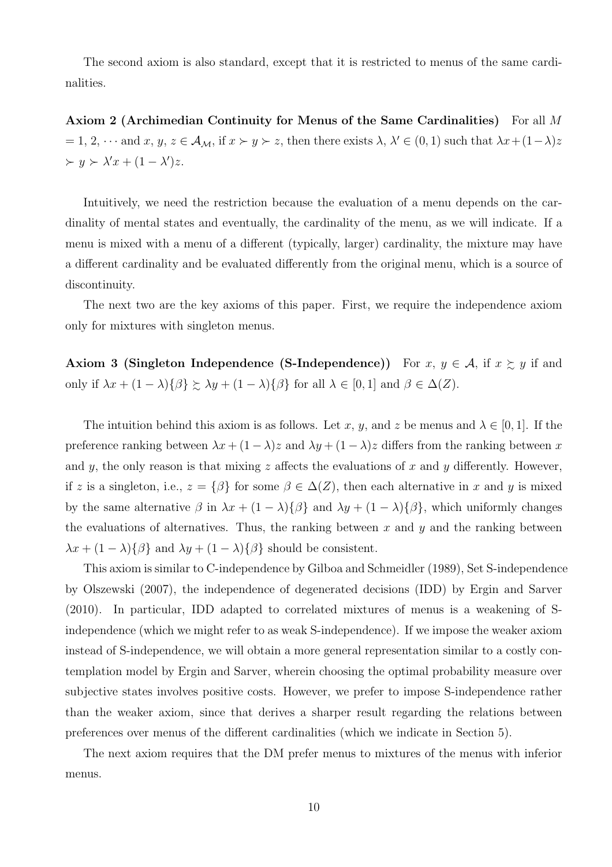The second axiom is also standard, except that it is restricted to menus of the same cardinalities.

Axiom 2 (Archimedian Continuity for Menus of the Same Cardinalities) For all M  $= 1, 2, \cdots$  and  $x, y, z \in A_{\mathcal{M}}$ , if  $x \succ y \succ z$ , then there exists  $\lambda, \lambda' \in (0, 1)$  such that  $\lambda x + (1 - \lambda)z$  $\succ y \succ \lambda' x + (1 - \lambda') z.$ 

Intuitively, we need the restriction because the evaluation of a menu depends on the cardinality of mental states and eventually, the cardinality of the menu, as we will indicate. If a menu is mixed with a menu of a different (typically, larger) cardinality, the mixture may have a different cardinality and be evaluated differently from the original menu, which is a source of discontinuity.

The next two are the key axioms of this paper. First, we require the independence axiom only for mixtures with singleton menus.

Axiom 3 (Singleton Independence (S-Independence)) For  $x, y \in A$ , if  $x \geq y$  if and only if  $\lambda x + (1 - \lambda)\{\beta\} \succsim \lambda y + (1 - \lambda)\{\beta\}$  for all  $\lambda \in [0, 1]$  and  $\beta \in \Delta(Z)$ .

The intuition behind this axiom is as follows. Let x, y, and z be menus and  $\lambda \in [0, 1]$ . If the preference ranking between  $\lambda x + (1 - \lambda)z$  and  $\lambda y + (1 - \lambda)z$  differs from the ranking between x and y, the only reason is that mixing  $z$  affects the evaluations of  $x$  and  $y$  differently. However, if z is a singleton, i.e.,  $z = \{\beta\}$  for some  $\beta \in \Delta(Z)$ , then each alternative in x and y is mixed by the same alternative  $\beta$  in  $\lambda x + (1 - \lambda)\{\beta\}$  and  $\lambda y + (1 - \lambda)\{\beta\}$ , which uniformly changes the evaluations of alternatives. Thus, the ranking between x and  $\gamma$  and the ranking between  $\lambda x + (1 - \lambda)\{\beta\}$  and  $\lambda y + (1 - \lambda)\{\beta\}$  should be consistent.

This axiom is similar to C-independence by Gilboa and Schmeidler (1989), Set S-independence by Olszewski (2007), the independence of degenerated decisions (IDD) by Ergin and Sarver (2010). In particular, IDD adapted to correlated mixtures of menus is a weakening of Sindependence (which we might refer to as weak S-independence). If we impose the weaker axiom instead of S-independence, we will obtain a more general representation similar to a costly contemplation model by Ergin and Sarver, wherein choosing the optimal probability measure over subjective states involves positive costs. However, we prefer to impose S-independence rather than the weaker axiom, since that derives a sharper result regarding the relations between preferences over menus of the different cardinalities (which we indicate in Section 5).

The next axiom requires that the DM prefer menus to mixtures of the menus with inferior menus.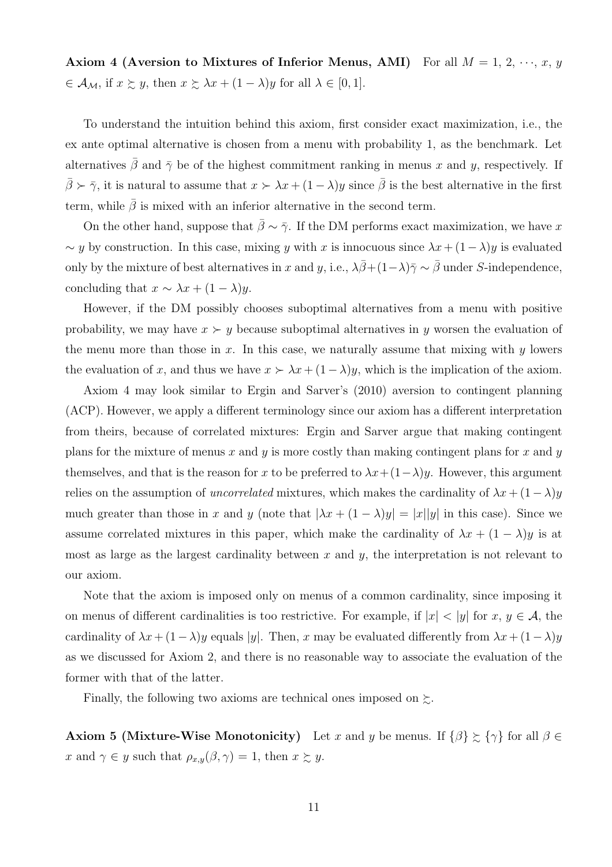Axiom 4 (Aversion to Mixtures of Inferior Menus, AMI) For all  $M = 1, 2, \dots, x, y$  $\in \mathcal{A}_{\mathcal{M}}$ , if  $x \succsim y$ , then  $x \succsim \lambda x + (1 - \lambda)y$  for all  $\lambda \in [0, 1]$ .

To understand the intuition behind this axiom, first consider exact maximization, i.e., the ex ante optimal alternative is chosen from a menu with probability 1, as the benchmark. Let alternatives  $\bar{\beta}$  and  $\bar{\gamma}$  be of the highest commitment ranking in menus x and y, respectively. If  $\bar{\beta} \succ \bar{\gamma}$ , it is natural to assume that  $x \succ \lambda x + (1 - \lambda)y$  since  $\bar{\beta}$  is the best alternative in the first term, while  $\beta$  is mixed with an inferior alternative in the second term.

On the other hand, suppose that  $\bar{\beta} \sim \bar{\gamma}$ . If the DM performs exact maximization, we have x  $\sim y$  by construction. In this case, mixing y with x is innocuous since  $\lambda x + (1 - \lambda)y$  is evaluated only by the mixture of best alternatives in x and y, i.e.,  $\lambda \bar{\beta} + (1-\lambda)\bar{\gamma} \sim \bar{\beta}$  under S-independence, concluding that  $x \sim \lambda x + (1 - \lambda)y$ .

However, if the DM possibly chooses suboptimal alternatives from a menu with positive probability, we may have  $x \succ y$  because suboptimal alternatives in y worsen the evaluation of the menu more than those in x. In this case, we naturally assume that mixing with  $y$  lowers the evaluation of x, and thus we have  $x \succ \lambda x + (1 - \lambda)y$ , which is the implication of the axiom.

Axiom 4 may look similar to Ergin and Sarver's (2010) aversion to contingent planning (ACP). However, we apply a different terminology since our axiom has a different interpretation from theirs, because of correlated mixtures: Ergin and Sarver argue that making contingent plans for the mixture of menus x and y is more costly than making contingent plans for x and y themselves, and that is the reason for x to be preferred to  $\lambda x+(1-\lambda)y$ . However, this argument relies on the assumption of *uncorrelated* mixtures, which makes the cardinality of  $\lambda x + (1 - \lambda)y$ much greater than those in x and y (note that  $|\lambda x + (1 - \lambda)y| = |x||y|$  in this case). Since we assume correlated mixtures in this paper, which make the cardinality of  $\lambda x + (1 - \lambda)y$  is at most as large as the largest cardinality between x and y, the interpretation is not relevant to our axiom.

Note that the axiom is imposed only on menus of a common cardinality, since imposing it on menus of different cardinalities is too restrictive. For example, if  $|x| < |y|$  for  $x, y \in A$ , the cardinality of  $\lambda x + (1-\lambda)y$  equals |y|. Then, x may be evaluated differently from  $\lambda x + (1-\lambda)y$ as we discussed for Axiom 2, and there is no reasonable way to associate the evaluation of the former with that of the latter.

Finally, the following two axioms are technical ones imposed on  $\succsim$ .

**Axiom 5 (Mixture-Wise Monotonicity)** Let x and y be menus. If  $\{\beta\} \succeq \{\gamma\}$  for all  $\beta \in$ x and  $\gamma \in y$  such that  $\rho_{x,y}(\beta, \gamma) = 1$ , then  $x \succsim y$ .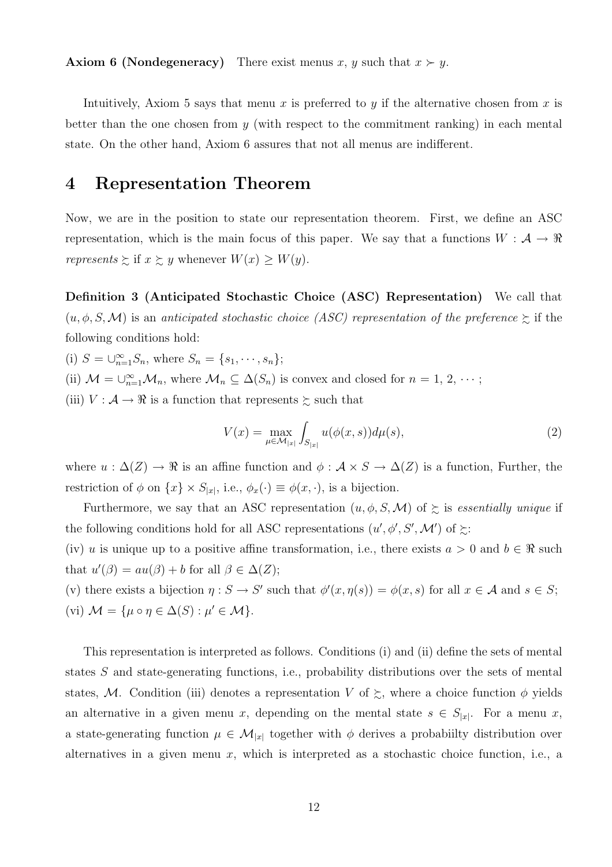**Axiom 6 (Nondegeneracy)** There exist menus x, y such that  $x \succ y$ .

Intuitively, Axiom 5 says that menu x is preferred to y if the alternative chosen from x is better than the one chosen from  $y$  (with respect to the commitment ranking) in each mental state. On the other hand, Axiom 6 assures that not all menus are indifferent.

## 4 Representation Theorem

Now, we are in the position to state our representation theorem. First, we define an ASC representation, which is the main focus of this paper. We say that a functions  $W : \mathcal{A} \to \mathbb{R}$ represents  $\succsim$  if  $x \succsim y$  whenever  $W(x) \geq W(y)$ .

Definition 3 (Anticipated Stochastic Choice (ASC) Representation) We call that  $(u, \phi, S, \mathcal{M})$  is an anticipated stochastic choice (ASC) representation of the preference  $\succeq$  if the following conditions hold:

(i)  $S = \bigcup_{n=1}^{\infty} S_n$ , where  $S_n = \{s_1, \dots, s_n\}$ ;

(ii)  $\mathcal{M} = \bigcup_{n=1}^{\infty} \mathcal{M}_n$ , where  $\mathcal{M}_n \subseteq \Delta(S_n)$  is convex and closed for  $n = 1, 2, \cdots$ ;

(iii)  $V : \mathcal{A} \to \mathbb{R}$  is a function that represents  $\succsim$  such that

$$
V(x) = \max_{\mu \in \mathcal{M}_{|x|}} \int_{S_{|x|}} u(\phi(x, s)) d\mu(s), \tag{2}
$$

where  $u : \Delta(Z) \to \Re$  is an affine function and  $\phi : A \times S \to \Delta(Z)$  is a function, Further, the restriction of  $\phi$  on  $\{x\} \times S_{|x|}$ , i.e.,  $\phi_x(\cdot) \equiv \phi(x, \cdot)$ , is a bijection.

Furthermore, we say that an ASC representation  $(u, \phi, S, \mathcal{M})$  of  $\succeq$  is *essentially unique* if the following conditions hold for all ASC representations  $(u', \phi', S', \mathcal{M}')$  of  $\succeq$ :

(iv) u is unique up to a positive affine transformation, i.e., there exists  $a > 0$  and  $b \in \mathbb{R}$  such that  $u'(\beta) = au(\beta) + b$  for all  $\beta \in \Delta(Z)$ ;

(v) there exists a bijection  $\eta: S \to S'$  such that  $\phi'(x, \eta(s)) = \phi(x, s)$  for all  $x \in A$  and  $s \in S$ ; (vi)  $\mathcal{M} = {\mu \circ \eta \in \Delta(S) : \mu' \in \mathcal{M}}.$ 

This representation is interpreted as follows. Conditions (i) and (ii) define the sets of mental states S and state-generating functions, i.e., probability distributions over the sets of mental states, M. Condition (iii) denotes a representation V of  $\gtrsim$ , where a choice function  $\phi$  yields an alternative in a given menu x, depending on the mental state  $s \in S_{|x|}$ . For a menu x, a state-generating function  $\mu \in \mathcal{M}_{|x|}$  together with  $\phi$  derives a probability distribution over alternatives in a given menu  $x$ , which is interpreted as a stochastic choice function, i.e., a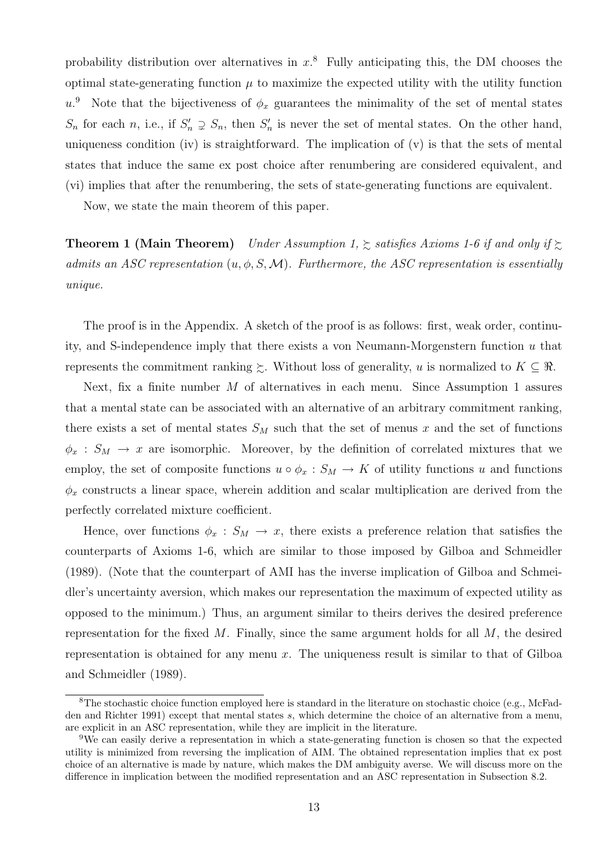probability distribution over alternatives in  $x$ <sup>8</sup>. Fully anticipating this, the DM chooses the optimal state-generating function  $\mu$  to maximize the expected utility with the utility function  $u^{\theta}$ . Note that the bijectiveness of  $\phi_x$  guarantees the minimality of the set of mental states  $S_n$  for each n, i.e., if  $S'_n \supsetneq S_n$ , then  $S'_n$  is never the set of mental states. On the other hand, uniqueness condition (iv) is straightforward. The implication of  $(v)$  is that the sets of mental states that induce the same ex post choice after renumbering are considered equivalent, and (vi) implies that after the renumbering, the sets of state-generating functions are equivalent.

Now, we state the main theorem of this paper.

**Theorem 1 (Main Theorem)** Under Assumption 1,  $\geq$  satisfies Axioms 1-6 if and only if  $\geq$ admits an ASC representation  $(u, \phi, S, \mathcal{M})$ . Furthermore, the ASC representation is essentially unique.

The proof is in the Appendix. A sketch of the proof is as follows: first, weak order, continuity, and S-independence imply that there exists a von Neumann-Morgenstern function u that represents the commitment ranking  $\succeq$ . Without loss of generality, u is normalized to  $K \subseteq \Re$ .

Next, fix a finite number  $M$  of alternatives in each menu. Since Assumption 1 assures that a mental state can be associated with an alternative of an arbitrary commitment ranking, there exists a set of mental states  $S_M$  such that the set of menus x and the set of functions  $\phi_x : S_M \to x$  are isomorphic. Moreover, by the definition of correlated mixtures that we employ, the set of composite functions  $u \circ \phi_x : S_M \to K$  of utility functions u and functions  $\phi_x$  constructs a linear space, wherein addition and scalar multiplication are derived from the perfectly correlated mixture coefficient.

Hence, over functions  $\phi_x : S_M \to x$ , there exists a preference relation that satisfies the counterparts of Axioms 1-6, which are similar to those imposed by Gilboa and Schmeidler (1989). (Note that the counterpart of AMI has the inverse implication of Gilboa and Schmeidler's uncertainty aversion, which makes our representation the maximum of expected utility as opposed to the minimum.) Thus, an argument similar to theirs derives the desired preference representation for the fixed  $M$ . Finally, since the same argument holds for all  $M$ , the desired representation is obtained for any menu  $x$ . The uniqueness result is similar to that of Gilboa and Schmeidler (1989).

 ${}^8$ The stochastic choice function employed here is standard in the literature on stochastic choice (e.g., McFadden and Richter 1991) except that mental states s, which determine the choice of an alternative from a menu, are explicit in an ASC representation, while they are implicit in the literature.

<sup>9</sup>We can easily derive a representation in which a state-generating function is chosen so that the expected utility is minimized from reversing the implication of AIM. The obtained representation implies that ex post choice of an alternative is made by nature, which makes the DM ambiguity averse. We will discuss more on the difference in implication between the modified representation and an ASC representation in Subsection 8.2.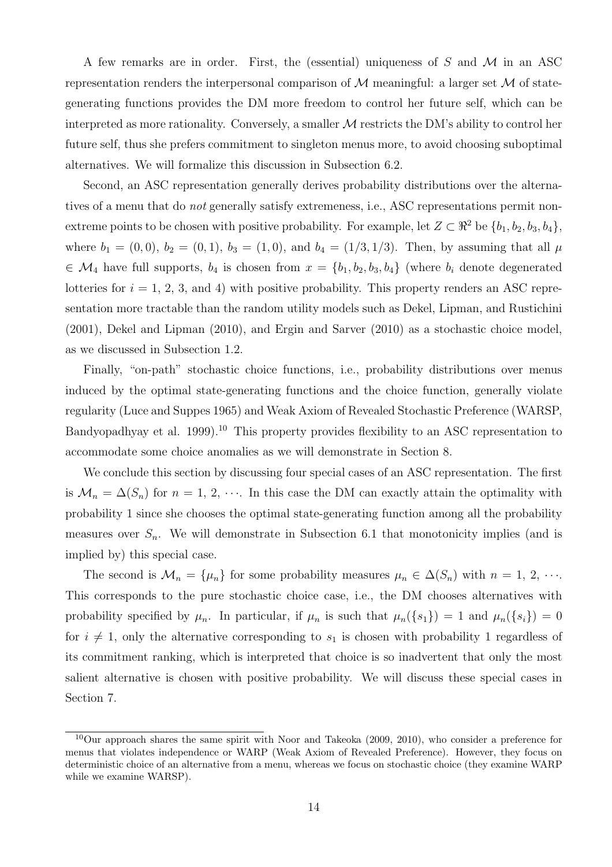A few remarks are in order. First, the (essential) uniqueness of  $S$  and  $M$  in an ASC representation renders the interpersonal comparison of  $\mathcal M$  meaningful: a larger set  $\mathcal M$  of stategenerating functions provides the DM more freedom to control her future self, which can be interpreted as more rationality. Conversely, a smaller  $\mathcal M$  restricts the DM's ability to control her future self, thus she prefers commitment to singleton menus more, to avoid choosing suboptimal alternatives. We will formalize this discussion in Subsection 6.2.

Second, an ASC representation generally derives probability distributions over the alternatives of a menu that do *not* generally satisfy extremeness, i.e., ASC representations permit nonextreme points to be chosen with positive probability. For example, let  $Z \subset \mathbb{R}^2$  be  $\{b_1, b_2, b_3, b_4\}$ , where  $b_1 = (0, 0), b_2 = (0, 1), b_3 = (1, 0),$  and  $b_4 = (1/3, 1/3)$ . Then, by assuming that all  $\mu$  $\in \mathcal{M}_4$  have full supports,  $b_4$  is chosen from  $x = \{b_1, b_2, b_3, b_4\}$  (where  $b_i$  denote degenerated lotteries for  $i = 1, 2, 3$ , and 4) with positive probability. This property renders an ASC representation more tractable than the random utility models such as Dekel, Lipman, and Rustichini (2001), Dekel and Lipman (2010), and Ergin and Sarver (2010) as a stochastic choice model, as we discussed in Subsection 1.2.

Finally, "on-path" stochastic choice functions, i.e., probability distributions over menus induced by the optimal state-generating functions and the choice function, generally violate regularity (Luce and Suppes 1965) and Weak Axiom of Revealed Stochastic Preference (WARSP, Bandyopadhyay et al. 1999).<sup>10</sup> This property provides flexibility to an ASC representation to accommodate some choice anomalies as we will demonstrate in Section 8.

We conclude this section by discussing four special cases of an ASC representation. The first is  $\mathcal{M}_n = \Delta(S_n)$  for  $n = 1, 2, \cdots$ . In this case the DM can exactly attain the optimality with probability 1 since she chooses the optimal state-generating function among all the probability measures over  $S_n$ . We will demonstrate in Subsection 6.1 that monotonicity implies (and is implied by) this special case.

The second is  $\mathcal{M}_n = \{\mu_n\}$  for some probability measures  $\mu_n \in \Delta(S_n)$  with  $n = 1, 2, \cdots$ . This corresponds to the pure stochastic choice case, i.e., the DM chooses alternatives with probability specified by  $\mu_n$ . In particular, if  $\mu_n$  is such that  $\mu_n({s_1}) = 1$  and  $\mu_n({s_i}) = 0$ for  $i \neq 1$ , only the alternative corresponding to  $s_1$  is chosen with probability 1 regardless of its commitment ranking, which is interpreted that choice is so inadvertent that only the most salient alternative is chosen with positive probability. We will discuss these special cases in Section 7.

<sup>10</sup>Our approach shares the same spirit with Noor and Takeoka (2009, 2010), who consider a preference for menus that violates independence or WARP (Weak Axiom of Revealed Preference). However, they focus on deterministic choice of an alternative from a menu, whereas we focus on stochastic choice (they examine WARP while we examine WARSP).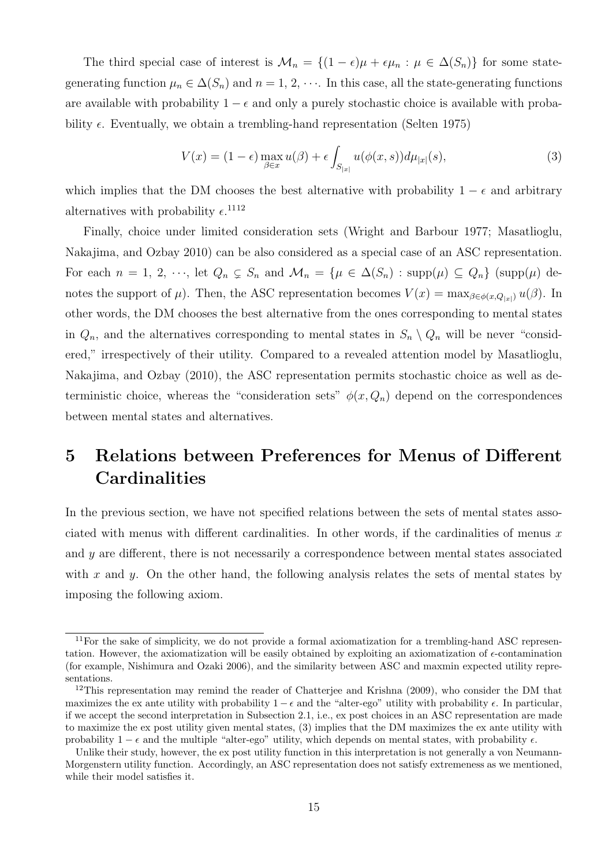The third special case of interest is  $\mathcal{M}_n = \{(1 - \epsilon)\mu + \epsilon \mu_n : \mu \in \Delta(S_n)\}\)$  for some stategenerating function  $\mu_n \in \Delta(S_n)$  and  $n = 1, 2, \cdots$ . In this case, all the state-generating functions are available with probability  $1 - \epsilon$  and only a purely stochastic choice is available with probability  $\epsilon$ . Eventually, we obtain a trembling-hand representation (Selten 1975)

$$
V(x) = (1 - \epsilon) \max_{\beta \in x} u(\beta) + \epsilon \int_{S_{|x|}} u(\phi(x, s)) d\mu_{|x|}(s), \tag{3}
$$

which implies that the DM chooses the best alternative with probability  $1 - \epsilon$  and arbitrary alternatives with probability  $\epsilon$ <sup>1112</sup>

Finally, choice under limited consideration sets (Wright and Barbour 1977; Masatlioglu, Nakajima, and Ozbay 2010) can be also considered as a special case of an ASC representation. For each  $n = 1, 2, \dots$ , let  $Q_n \subsetneq S_n$  and  $\mathcal{M}_n = {\mu \in \Delta(S_n) : \text{supp}(\mu) \subseteq Q_n}$  (supp( $\mu$ ) denotes the support of  $\mu$ ). Then, the ASC representation becomes  $V(x) = \max_{\beta \in \phi(x,Q_{|x|})} u(\beta)$ . In other words, the DM chooses the best alternative from the ones corresponding to mental states in  $Q_n$ , and the alternatives corresponding to mental states in  $S_n \setminus Q_n$  will be never "considered," irrespectively of their utility. Compared to a revealed attention model by Masatlioglu, Nakajima, and Ozbay (2010), the ASC representation permits stochastic choice as well as deterministic choice, whereas the "consideration sets"  $\phi(x, Q_n)$  depend on the correspondences between mental states and alternatives.

# 5 Relations between Preferences for Menus of Different **Cardinalities**

In the previous section, we have not specified relations between the sets of mental states associated with menus with different cardinalities. In other words, if the cardinalities of menus  $x$ and  $\gamma$  are different, there is not necessarily a correspondence between mental states associated with x and y. On the other hand, the following analysis relates the sets of mental states by imposing the following axiom.

<sup>11</sup>For the sake of simplicity, we do not provide a formal axiomatization for a trembling-hand ASC representation. However, the axiomatization will be easily obtained by exploiting an axiomatization of  $\epsilon$ -contamination (for example, Nishimura and Ozaki 2006), and the similarity between ASC and maxmin expected utility representations.

<sup>&</sup>lt;sup>12</sup>This representation may remind the reader of Chatterjee and Krishna (2009), who consider the DM that maximizes the ex ante utility with probability  $1 - \epsilon$  and the "alter-ego" utility with probability  $\epsilon$ . In particular, if we accept the second interpretation in Subsection 2.1, i.e., ex post choices in an ASC representation are made to maximize the ex post utility given mental states, (3) implies that the DM maximizes the ex ante utility with probability  $1 - \epsilon$  and the multiple "alter-ego" utility, which depends on mental states, with probability  $\epsilon$ .

Unlike their study, however, the ex post utility function in this interpretation is not generally a von Neumann-Morgenstern utility function. Accordingly, an ASC representation does not satisfy extremeness as we mentioned, while their model satisfies it.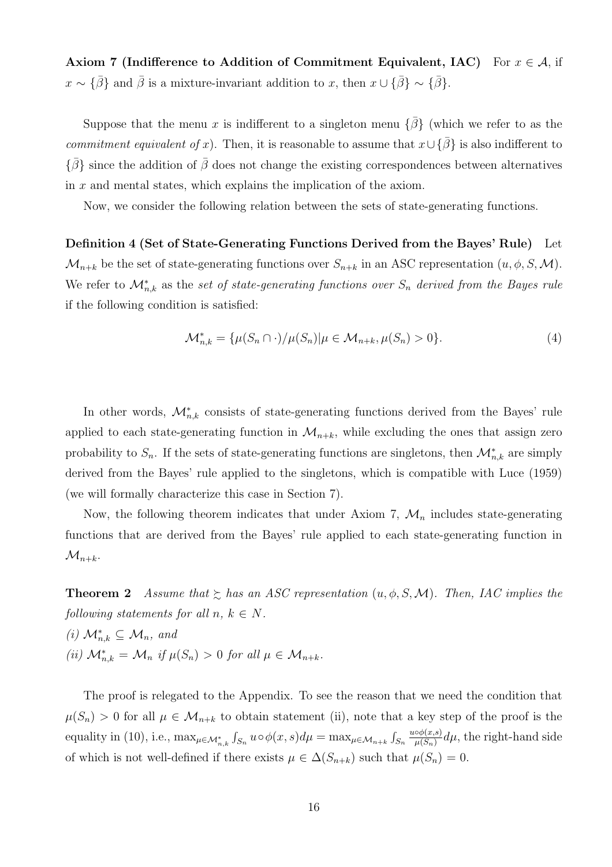Axiom 7 (Indifference to Addition of Commitment Equivalent, IAC) For  $x \in A$ , if  $x \sim {\bar{\beta}}$  and  $\bar{\beta}$  is a mixture-invariant addition to x, then  $x \cup {\bar{\beta}} \sim {\bar{\beta}}$ .

Suppose that the menu x is indifferent to a singleton menu  $\{\bar{\beta}\}\$  (which we refer to as the commitment equivalent of x). Then, it is reasonable to assume that  $x \cup {\bar{\beta}}$  is also indifferent to  $\{\bar{\beta}\}$  since the addition of  $\bar{\beta}$  does not change the existing correspondences between alternatives in  $x$  and mental states, which explains the implication of the axiom.

Now, we consider the following relation between the sets of state-generating functions.

Definition 4 (Set of State-Generating Functions Derived from the Bayes' Rule) Let  $\mathcal{M}_{n+k}$  be the set of state-generating functions over  $S_{n+k}$  in an ASC representation  $(u, \phi, S, \mathcal{M})$ . We refer to  $\mathcal{M}_{n,k}^*$  as the set of state-generating functions over  $S_n$  derived from the Bayes rule if the following condition is satisfied:

$$
\mathcal{M}_{n,k}^* = \{\mu(S_n \cap \cdot)/\mu(S_n) | \mu \in \mathcal{M}_{n+k}, \mu(S_n) > 0\}.
$$
\n
$$
(4)
$$

In other words,  $\mathcal{M}_{n,k}^*$  consists of state-generating functions derived from the Bayes' rule applied to each state-generating function in  $\mathcal{M}_{n+k}$ , while excluding the ones that assign zero probability to  $S_n$ . If the sets of state-generating functions are singletons, then  $\mathcal{M}_{n,k}^*$  are simply derived from the Bayes' rule applied to the singletons, which is compatible with Luce (1959) (we will formally characterize this case in Section 7).

Now, the following theorem indicates that under Axiom 7,  $\mathcal{M}_n$  includes state-generating functions that are derived from the Bayes' rule applied to each state-generating function in  $\mathcal{M}_{n+k}$ .

**Theorem 2** Assume that  $\geq$  has an ASC representation  $(u, \phi, S, \mathcal{M})$ . Then, IAC implies the following statements for all  $n, k \in N$ .

(i)  $\mathcal{M}_{n,k}^* \subseteq \mathcal{M}_n$ , and (ii)  $\mathcal{M}_{n,k}^* = \mathcal{M}_n$  if  $\mu(S_n) > 0$  for all  $\mu \in \mathcal{M}_{n+k}$ .

The proof is relegated to the Appendix. To see the reason that we need the condition that  $\mu(S_n) > 0$  for all  $\mu \in \mathcal{M}_{n+k}$  to obtain statement (ii), note that a key step of the proof is the equality in (10), i.e.,  $\max_{\mu \in \mathcal{M}_{n,k}^*}$ R  $\int_{S_n} u \circ \phi(x, s) d\mu = \max_{\mu \in \mathcal{M}_{n+k}} \int_{S_n}$  $S_n$  $u \circ \phi(x,s)$  $\frac{\partial \phi(x,s)}{\mu(S_n)}d\mu$ , the right-hand side of which is not well-defined if there exists  $\mu \in \Delta(S_{n+k})$  such that  $\mu(S_n) = 0$ .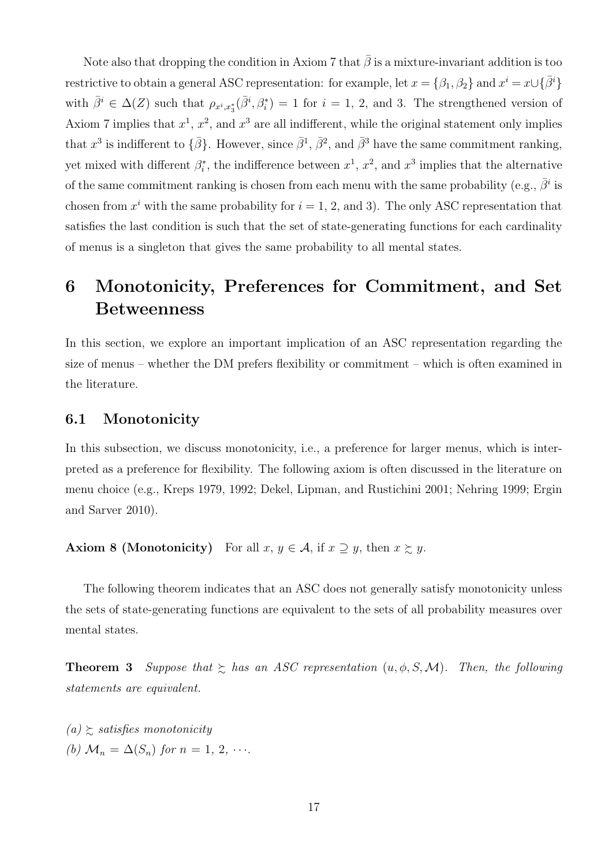Note also that dropping the condition in Axiom 7 that  $\bar{\beta}$  is a mixture-invariant addition is too restrictive to obtain a general ASC representation: for example, let  $x = \{\beta_1, \beta_2\}$  and  $x^i = x \cup \{\bar{\beta}^i\}$ with  $\bar{\beta}^i \in \Delta(Z)$  such that  $\rho_{x^i,x_3^*}(\bar{\beta}^i,\beta_i^*)=1$  for  $i=1, 2$ , and 3. The strengthened version of Axiom 7 implies that  $x^1$ ,  $x^2$ , and  $x^3$  are all indifferent, while the original statement only implies that  $x^3$  is indifferent to  $\{\bar{\beta}\}$ . However, since  $\bar{\beta}^1$ ,  $\bar{\beta}^2$ , and  $\bar{\beta}^3$  have the same commitment ranking, yet mixed with different  $\beta_i^*$ , the indifference between  $x^1$ ,  $x^2$ , and  $x^3$  implies that the alternative of the same commitment ranking is chosen from each menu with the same probability (e.g.,  $\bar{\beta}^i$  is chosen from  $x^i$  with the same probability for  $i = 1, 2,$  and 3). The only ASC representation that satisfies the last condition is such that the set of state-generating functions for each cardinality of menus is a singleton that gives the same probability to all mental states.

# 6 Monotonicity, Preferences for Commitment, and Set Betweenness

In this section, we explore an important implication of an ASC representation regarding the size of menus – whether the DM prefers flexibility or commitment – which is often examined in the literature.

### 6.1 Monotonicity

In this subsection, we discuss monotonicity, i.e., a preference for larger menus, which is interpreted as a preference for flexibility. The following axiom is often discussed in the literature on menu choice (e.g., Kreps 1979, 1992; Dekel, Lipman, and Rustichini 2001; Nehring 1999; Ergin and Sarver 2010).

**Axiom 8 (Monotonicity)** For all  $x, y \in A$ , if  $x \supseteq y$ , then  $x \succsim y$ .

The following theorem indicates that an ASC does not generally satisfy monotonicity unless the sets of state-generating functions are equivalent to the sets of all probability measures over mental states.

**Theorem 3** Suppose that  $\succsim$  has an ASC representation  $(u, \phi, S, \mathcal{M})$ . Then, the following statements are equivalent.

 $(a) \succeq$  satisfies monotonicity (b)  $\mathcal{M}_n = \Delta(S_n)$  for  $n = 1, 2, \cdots$ .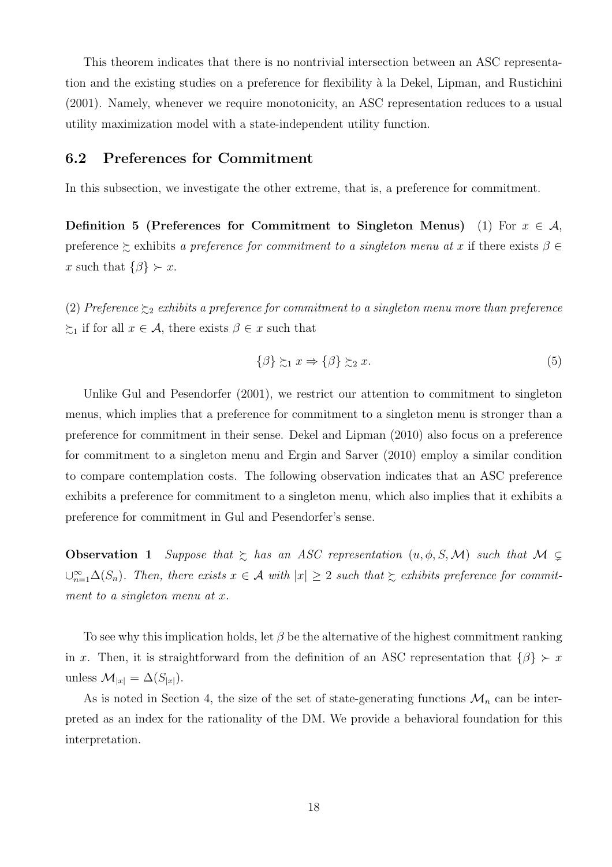This theorem indicates that there is no nontrivial intersection between an ASC representation and the existing studies on a preference for flexibility à la Dekel, Lipman, and Rustichini (2001). Namely, whenever we require monotonicity, an ASC representation reduces to a usual utility maximization model with a state-independent utility function.

### 6.2 Preferences for Commitment

In this subsection, we investigate the other extreme, that is, a preference for commitment.

Definition 5 (Preferences for Commitment to Singleton Menus) (1) For  $x \in A$ , preference  $\succeq$  exhibits a preference for commitment to a singleton menu at x if there exists  $\beta \in$ x such that  $\{\beta\} \succ x$ .

(2) Preference  $\gtrsim_2$  exhibits a preference for commitment to a singleton menu more than preference  $\xi_1$  if for all  $x \in \mathcal{A}$ , there exists  $\beta \in x$  such that

$$
\{\beta\} \succsim_1 x \Rightarrow \{\beta\} \succsim_2 x. \tag{5}
$$

Unlike Gul and Pesendorfer (2001), we restrict our attention to commitment to singleton menus, which implies that a preference for commitment to a singleton menu is stronger than a preference for commitment in their sense. Dekel and Lipman (2010) also focus on a preference for commitment to a singleton menu and Ergin and Sarver (2010) employ a similar condition to compare contemplation costs. The following observation indicates that an ASC preference exhibits a preference for commitment to a singleton menu, which also implies that it exhibits a preference for commitment in Gul and Pesendorfer's sense.

**Observation 1** Suppose that  $\succsim$  has an ASC representation  $(u, \phi, S, \mathcal{M})$  such that  $\mathcal{M} \subsetneq$  $\bigcup_{n=1}^{\infty} \Delta(S_n)$ . Then, there exists  $x \in \mathcal{A}$  with  $|x| \geq 2$  such that  $\succsim$  exhibits preference for commitment to a singleton menu at x.

To see why this implication holds, let  $\beta$  be the alternative of the highest commitment ranking in x. Then, it is straightforward from the definition of an ASC representation that  $\{\beta\} \succ x$ unless  $\mathcal{M}_{|x|} = \Delta(S_{|x|}).$ 

As is noted in Section 4, the size of the set of state-generating functions  $\mathcal{M}_n$  can be interpreted as an index for the rationality of the DM. We provide a behavioral foundation for this interpretation.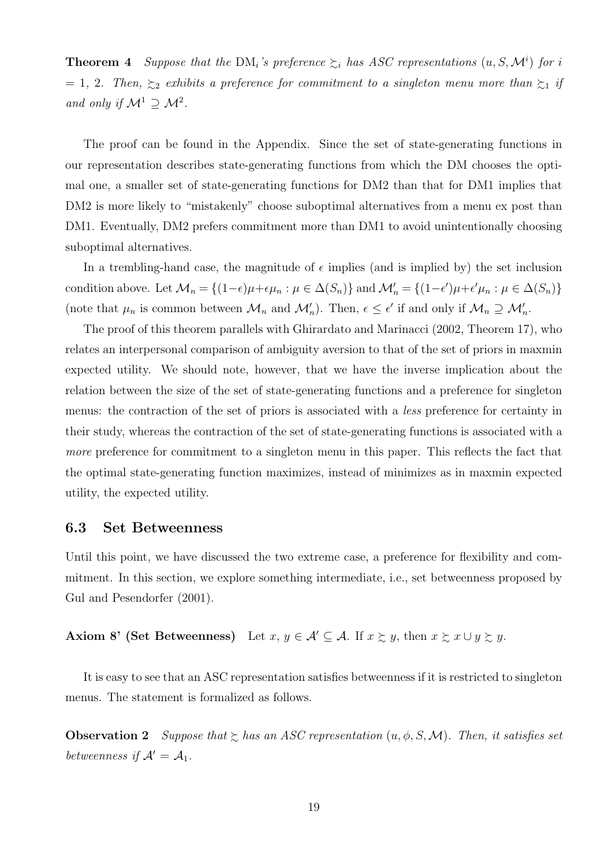**Theorem 4** Suppose that the DM<sub>i</sub>'s preference  $\geq_i$  has ASC representations  $(u, S, \mathcal{M}^i)$  for i  $= 1, 2$ . Then,  $\gtrsim$  exhibits a preference for commitment to a singleton menu more than  $\gtrsim$  if and only if  $\mathcal{M}^1 \supseteq \mathcal{M}^2$ .

The proof can be found in the Appendix. Since the set of state-generating functions in our representation describes state-generating functions from which the DM chooses the optimal one, a smaller set of state-generating functions for DM2 than that for DM1 implies that DM2 is more likely to "mistakenly" choose suboptimal alternatives from a menu ex post than DM1. Eventually, DM2 prefers commitment more than DM1 to avoid unintentionally choosing suboptimal alternatives.

In a trembling-hand case, the magnitude of  $\epsilon$  implies (and is implied by) the set inclusion condition above. Let  $\mathcal{M}_n = \{(1-\epsilon)\mu + \epsilon \mu_n : \mu \in \Delta(S_n)\}\$  and  $\mathcal{M}'_n = \{(1-\epsilon')\mu + \epsilon' \mu_n : \mu \in \Delta(S_n)\}\$ (note that  $\mu_n$  is common between  $\mathcal{M}_n$  and  $\mathcal{M}'_n$ ). Then,  $\epsilon \leq \epsilon'$  if and only if  $\mathcal{M}_n \supseteq \mathcal{M}'_n$ .

The proof of this theorem parallels with Ghirardato and Marinacci (2002, Theorem 17), who relates an interpersonal comparison of ambiguity aversion to that of the set of priors in maxmin expected utility. We should note, however, that we have the inverse implication about the relation between the size of the set of state-generating functions and a preference for singleton menus: the contraction of the set of priors is associated with a less preference for certainty in their study, whereas the contraction of the set of state-generating functions is associated with a more preference for commitment to a singleton menu in this paper. This reflects the fact that the optimal state-generating function maximizes, instead of minimizes as in maxmin expected utility, the expected utility.

### 6.3 Set Betweenness

Until this point, we have discussed the two extreme case, a preference for flexibility and commitment. In this section, we explore something intermediate, i.e., set betweenness proposed by Gul and Pesendorfer (2001).

### Axiom 8' (Set Betweenness) Let  $x, y \in A' \subseteq A$ . If  $x \succeq y$ , then  $x \succeq x \cup y \succeq y$ .

It is easy to see that an ASC representation satisfies betweenness if it is restricted to singleton menus. The statement is formalized as follows.

**Observation 2** Suppose that  $\geq$  has an ASC representation  $(u, \phi, S, M)$ . Then, it satisfies set betweenness if  $\mathcal{A}' = \mathcal{A}_1$ .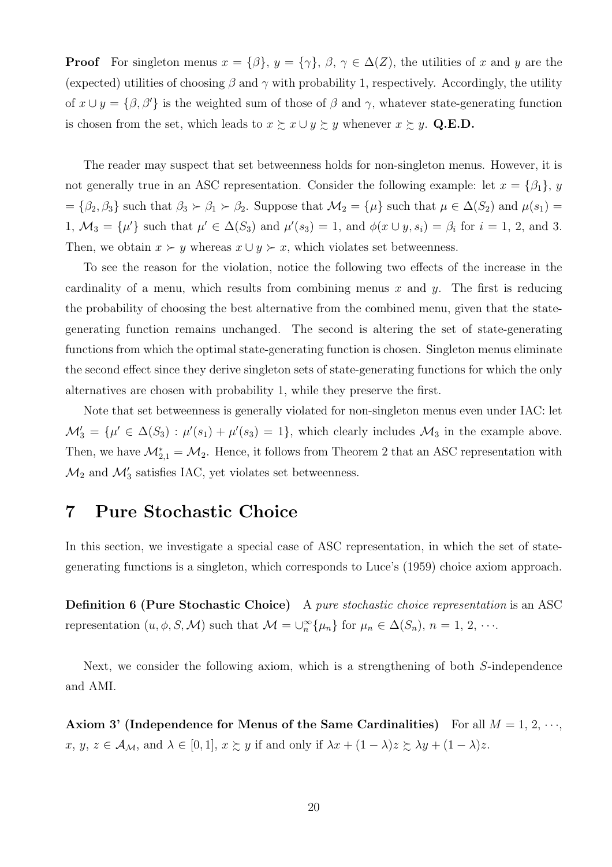**Proof** For singleton menus  $x = \{\beta\}, y = \{\gamma\}, \beta, \gamma \in \Delta(Z)$ , the utilities of x and y are the (expected) utilities of choosing  $\beta$  and  $\gamma$  with probability 1, respectively. Accordingly, the utility of  $x \cup y = \{\beta, \beta'\}$  is the weighted sum of those of  $\beta$  and  $\gamma$ , whatever state-generating function is chosen from the set, which leads to  $x \succsim x \cup y \succsim y$  whenever  $x \succsim y$ . Q.E.D.

The reader may suspect that set betweenness holds for non-singleton menus. However, it is not generally true in an ASC representation. Consider the following example: let  $x = \{\beta_1\}, y$  $=\{\beta_2,\beta_3\}$  such that  $\beta_3 \succ \beta_1 \succ \beta_2$ . Suppose that  $\mathcal{M}_2 = {\mu}$  such that  $\mu \in \Delta(S_2)$  and  $\mu(s_1) =$ 1,  $\mathcal{M}_3 = {\mu'}$  such that  $\mu' \in \Delta(S_3)$  and  $\mu'(s_3) = 1$ , and  $\phi(x \cup y, s_i) = \beta_i$  for  $i = 1, 2$ , and 3. Then, we obtain  $x \succ y$  whereas  $x \cup y \succ x$ , which violates set betweenness.

To see the reason for the violation, notice the following two effects of the increase in the cardinality of a menu, which results from combining menus x and y. The first is reducing the probability of choosing the best alternative from the combined menu, given that the stategenerating function remains unchanged. The second is altering the set of state-generating functions from which the optimal state-generating function is chosen. Singleton menus eliminate the second effect since they derive singleton sets of state-generating functions for which the only alternatives are chosen with probability 1, while they preserve the first.

Note that set betweenness is generally violated for non-singleton menus even under IAC: let  $\mathcal{M}'_3 = {\mu' \in \Delta(S_3) : \mu'(s_1) + \mu'(s_3) = 1},$  which clearly includes  $\mathcal{M}_3$  in the example above. Then, we have  $\mathcal{M}_{2,1}^* = \mathcal{M}_2$ . Hence, it follows from Theorem 2 that an ASC representation with  $\mathcal{M}_2$  and  $\mathcal{M}'_3$  satisfies IAC, yet violates set betweenness.

## 7 Pure Stochastic Choice

In this section, we investigate a special case of ASC representation, in which the set of stategenerating functions is a singleton, which corresponds to Luce's (1959) choice axiom approach.

**Definition 6 (Pure Stochastic Choice)** A pure stochastic choice representation is an ASC representation  $(u, \phi, S, M)$  such that  $M = \bigcup_{n=0}^{\infty} {\{\mu_n\}}$  for  $\mu_n \in \Delta(S_n)$ ,  $n = 1, 2, \cdots$ .

Next, we consider the following axiom, which is a strengthening of both S-independence and AMI.

Axiom 3' (Independence for Menus of the Same Cardinalities) For all  $M = 1, 2, \dots$ ,  $x, y, z \in \mathcal{A}_{\mathcal{M}}, \text{ and } \lambda \in [0,1], x \succsim y \text{ if and only if } \lambda x + (1 - \lambda)z \succsim \lambda y + (1 - \lambda)z.$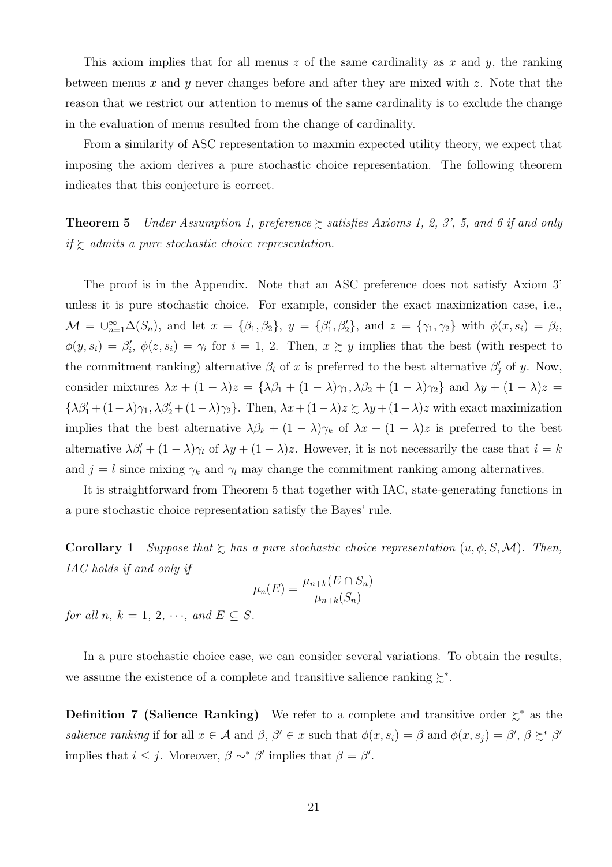This axiom implies that for all menus z of the same cardinality as x and  $y$ , the ranking between menus x and y never changes before and after they are mixed with z. Note that the reason that we restrict our attention to menus of the same cardinality is to exclude the change in the evaluation of menus resulted from the change of cardinality.

From a similarity of ASC representation to maxmin expected utility theory, we expect that imposing the axiom derives a pure stochastic choice representation. The following theorem indicates that this conjecture is correct.

**Theorem 5** Under Assumption 1, preference  $\succsim$  satisfies Axioms 1, 2, 3', 5, and 6 if and only if  $\gtrsim$  admits a pure stochastic choice representation.

The proof is in the Appendix. Note that an ASC preference does not satisfy Axiom 3' unless it is pure stochastic choice. For example, consider the exact maximization case, i.e.,  $\mathcal{M} = \bigcup_{n=1}^{\infty} \Delta(S_n)$ , and let  $x = {\beta_1, \beta_2}$ ,  $y = {\beta'_1, \beta'_2}$ , and  $z = {\gamma_1, \gamma_2}$  with  $\phi(x, s_i) = \beta_i$ ,  $\phi(y, s_i) = \beta'_i, \ \phi(z, s_i) = \gamma_i$  for  $i = 1, 2$ . Then,  $x \succeq y$  implies that the best (with respect to the commitment ranking) alternative  $\beta_i$  of x is preferred to the best alternative  $\beta'_j$  of y. Now, consider mixtures  $\lambda x + (1 - \lambda)z = {\lambda \beta_1 + (1 - \lambda)\gamma_1, \lambda \beta_2 + (1 - \lambda)\gamma_2}$  and  $\lambda y + (1 - \lambda)z =$  $\{\lambda \beta_1' + (1-\lambda)\gamma_1, \lambda \beta_2' + (1-\lambda)\gamma_2\}$ . Then,  $\lambda x + (1-\lambda)z \ge \lambda y + (1-\lambda)z$  with exact maximization implies that the best alternative  $\lambda \beta_k + (1 - \lambda) \gamma_k$  of  $\lambda x + (1 - \lambda) z$  is preferred to the best alternative  $\lambda \beta'_l + (1 - \lambda)\gamma_l$  of  $\lambda y + (1 - \lambda)z$ . However, it is not necessarily the case that  $i = k$ and  $j = l$  since mixing  $\gamma_k$  and  $\gamma_l$  may change the commitment ranking among alternatives.

It is straightforward from Theorem 5 that together with IAC, state-generating functions in a pure stochastic choice representation satisfy the Bayes' rule.

**Corollary 1** Suppose that  $\succsim$  has a pure stochastic choice representation  $(u, \phi, S, M)$ . Then, IAC holds if and only if

$$
\mu_n(E) = \frac{\mu_{n+k}(E \cap S_n)}{\mu_{n+k}(S_n)}
$$

for all n,  $k = 1, 2, \cdots$ , and  $E \subset S$ .

In a pure stochastic choice case, we can consider several variations. To obtain the results, we assume the existence of a complete and transitive salience ranking  $\succeq^*$ .

**Definition 7 (Salience Ranking)** We refer to a complete and transitive order  $\succeq^*$  as the *salience ranking* if for all  $x \in A$  and  $\beta$ ,  $\beta' \in x$  such that  $\phi(x, s_i) = \beta$  and  $\phi(x, s_j) = \beta'$ ,  $\beta \succeq^* \beta'$ implies that  $i \leq j$ . Moreover,  $\beta \sim^* \beta'$  implies that  $\beta = \beta'$ .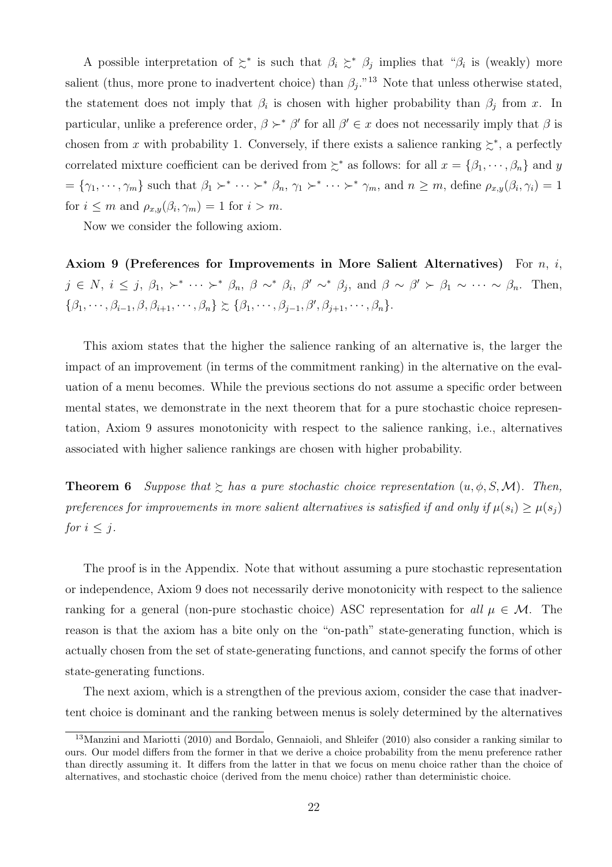A possible interpretation of  $\succcurlyeq^*$  is such that  $\beta_i \succeq^* \beta_j$  implies that " $\beta_i$  is (weakly) more salient (thus, more prone to inadvertent choice) than  $\beta_j$ .<sup>"13</sup> Note that unless otherwise stated, the statement does not imply that  $\beta_i$  is chosen with higher probability than  $\beta_j$  from x. In particular, unlike a preference order,  $\beta \succ^* \beta'$  for all  $\beta' \in x$  does not necessarily imply that  $\beta$  is chosen from x with probability 1. Conversely, if there exists a salience ranking  $\succsim^*$ , a perfectly correlated mixture coefficient can be derived from  $\succcurlyeq^*$  as follows: for all  $x = {\beta_1, \dots, \beta_n}$  and y  $=\{\gamma_1,\dots,\gamma_m\}$  such that  $\beta_1 \succ^* \dots \succ^* \beta_n, \gamma_1 \succ^* \dots \succ^* \gamma_m$ , and  $n \geq m$ , define  $\rho_{x,y}(\beta_i,\gamma_i)=1$ for  $i \leq m$  and  $\rho_{x,y}(\beta_i, \gamma_m) = 1$  for  $i > m$ .

Now we consider the following axiom.

Axiom 9 (Preferences for Improvements in More Salient Alternatives) For  $n, i$ ,  $j \in N$ ,  $i \leq j$ ,  $\beta_1$ ,  $\succ^* \cdots \succ^* \beta_n$ ,  $\beta \sim^* \beta_i$ ,  $\beta' \sim^* \beta_j$ , and  $\beta \sim \beta' \succ \beta_1 \sim \cdots \sim \beta_n$ . Then,  $\{\beta_1,\cdots,\beta_{i-1},\beta,\beta_{i+1},\cdots,\beta_n\}\succsim \{\beta_1,\cdots,\beta_{j-1},\beta',\beta_{j+1},\cdots,\beta_n\}.$ 

This axiom states that the higher the salience ranking of an alternative is, the larger the impact of an improvement (in terms of the commitment ranking) in the alternative on the evaluation of a menu becomes. While the previous sections do not assume a specific order between mental states, we demonstrate in the next theorem that for a pure stochastic choice representation, Axiom 9 assures monotonicity with respect to the salience ranking, i.e., alternatives associated with higher salience rankings are chosen with higher probability.

**Theorem 6** Suppose that  $\geq$  has a pure stochastic choice representation  $(u, \phi, S, \mathcal{M})$ . Then, preferences for improvements in more salient alternatives is satisfied if and only if  $\mu(s_i) \geq \mu(s_j)$ for  $i \leq j$ .

The proof is in the Appendix. Note that without assuming a pure stochastic representation or independence, Axiom 9 does not necessarily derive monotonicity with respect to the salience ranking for a general (non-pure stochastic choice) ASC representation for all  $\mu \in \mathcal{M}$ . The reason is that the axiom has a bite only on the "on-path" state-generating function, which is actually chosen from the set of state-generating functions, and cannot specify the forms of other state-generating functions.

The next axiom, which is a strengthen of the previous axiom, consider the case that inadvertent choice is dominant and the ranking between menus is solely determined by the alternatives

<sup>13</sup>Manzini and Mariotti (2010) and Bordalo, Gennaioli, and Shleifer (2010) also consider a ranking similar to ours. Our model differs from the former in that we derive a choice probability from the menu preference rather than directly assuming it. It differs from the latter in that we focus on menu choice rather than the choice of alternatives, and stochastic choice (derived from the menu choice) rather than deterministic choice.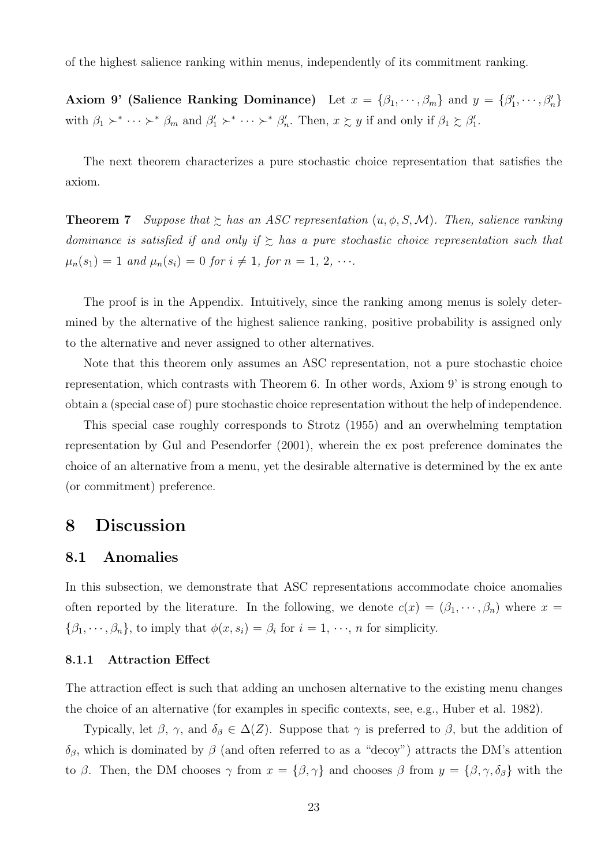of the highest salience ranking within menus, independently of its commitment ranking.

Axiom 9' (Salience Ranking Dominance) Let  $x = \{\beta_1, \dots, \beta_m\}$  and  $y = \{\beta'_1, \dots, \beta'_n\}$ with  $\beta_1 \succ^* \cdots \succ^* \beta_m$  and  $\beta'_1 \succ^* \cdots \succ^* \beta'_n$ . Then,  $x \succsim y$  if and only if  $\beta_1 \succsim \beta'_1$ .

The next theorem characterizes a pure stochastic choice representation that satisfies the axiom.

**Theorem 7** Suppose that  $\geq$  has an ASC representation  $(u, \phi, S, M)$ . Then, salience ranking dominance is satisfied if and only if  $\gtrsim$  has a pure stochastic choice representation such that  $\mu_n(s_1) = 1$  and  $\mu_n(s_i) = 0$  for  $i \neq 1$ , for  $n = 1, 2, \cdots$ .

The proof is in the Appendix. Intuitively, since the ranking among menus is solely determined by the alternative of the highest salience ranking, positive probability is assigned only to the alternative and never assigned to other alternatives.

Note that this theorem only assumes an ASC representation, not a pure stochastic choice representation, which contrasts with Theorem 6. In other words, Axiom 9' is strong enough to obtain a (special case of) pure stochastic choice representation without the help of independence.

This special case roughly corresponds to Strotz (1955) and an overwhelming temptation representation by Gul and Pesendorfer (2001), wherein the ex post preference dominates the choice of an alternative from a menu, yet the desirable alternative is determined by the ex ante (or commitment) preference.

## 8 Discussion

### 8.1 Anomalies

In this subsection, we demonstrate that ASC representations accommodate choice anomalies often reported by the literature. In the following, we denote  $c(x) = (\beta_1, \dots, \beta_n)$  where  $x =$  $\{\beta_1, \dots, \beta_n\}$ , to imply that  $\phi(x, s_i) = \beta_i$  for  $i = 1, \dots, n$  for simplicity.

#### 8.1.1 Attraction Effect

The attraction effect is such that adding an unchosen alternative to the existing menu changes the choice of an alternative (for examples in specific contexts, see, e.g., Huber et al. 1982).

Typically, let  $\beta$ ,  $\gamma$ , and  $\delta_{\beta} \in \Delta(Z)$ . Suppose that  $\gamma$  is preferred to  $\beta$ , but the addition of δ<sub>β</sub>, which is dominated by β (and often referred to as a "decoy") attracts the DM's attention to β. Then, the DM chooses  $\gamma$  from  $x = {\beta, \gamma}$  and chooses β from  $y = {\beta, \gamma, \delta_{\beta}}$  with the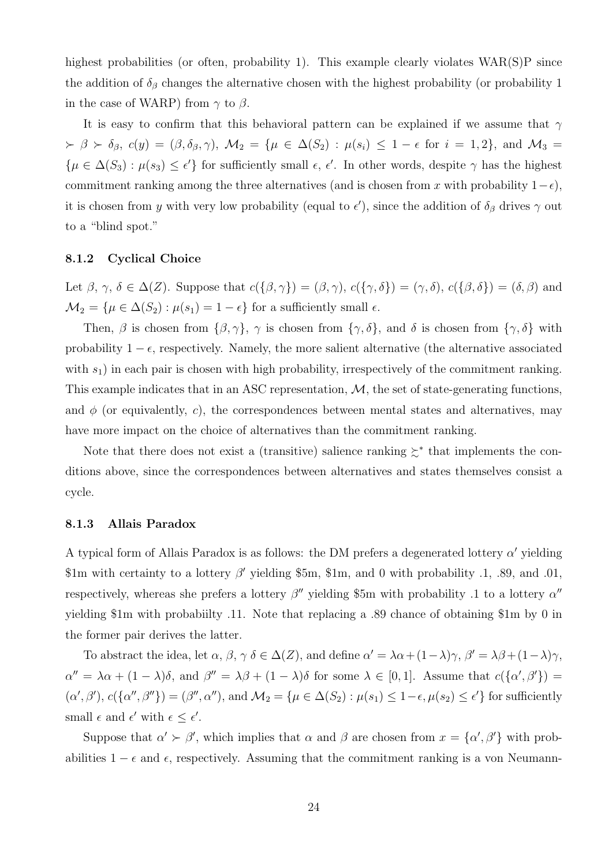highest probabilities (or often, probability 1). This example clearly violates  $WAR(S)P$  since the addition of  $\delta_{\beta}$  changes the alternative chosen with the highest probability (or probability 1 in the case of WARP) from  $\gamma$  to  $\beta$ .

It is easy to confirm that this behavioral pattern can be explained if we assume that  $\gamma$  $\lambda \geq \beta \geq \delta_{\beta}, c(y) = (\beta, \delta_{\beta}, \gamma), \mathcal{M}_2 = \{\mu \in \Delta(S_2) : \mu(s_i) \leq 1 - \epsilon \text{ for } i = 1, 2\}, \text{ and } \mathcal{M}_3 = \emptyset$  $\{\mu \in \Delta(S_3) : \mu(s_3) \leq \epsilon'\}\$ for sufficiently small  $\epsilon, \epsilon'$ . In other words, despite  $\gamma$  has the highest commitment ranking among the three alternatives (and is chosen from x with probability  $1-\epsilon$ ), it is chosen from y with very low probability (equal to  $\epsilon'$ ), since the addition of  $\delta_{\beta}$  drives  $\gamma$  out to a "blind spot."

#### 8.1.2 Cyclical Choice

Let  $\beta, \gamma, \delta \in \Delta(Z)$ . Suppose that  $c(\{\beta, \gamma\}) = (\beta, \gamma), c(\{\gamma, \delta\}) = (\gamma, \delta), c(\{\beta, \delta\}) = (\delta, \beta)$  and  $\mathcal{M}_2 = {\mu \in \Delta(S_2) : \mu(s_1) = 1 - \epsilon}$  for a sufficiently small  $\epsilon$ .

Then,  $\beta$  is chosen from  $\{\beta, \gamma\}, \gamma$  is chosen from  $\{\gamma, \delta\},$  and  $\delta$  is chosen from  $\{\gamma, \delta\}$  with probability  $1 - \epsilon$ , respectively. Namely, the more salient alternative (the alternative associated with  $s_1$ ) in each pair is chosen with high probability, irrespectively of the commitment ranking. This example indicates that in an ASC representation,  $M$ , the set of state-generating functions, and  $\phi$  (or equivalently, c), the correspondences between mental states and alternatives, may have more impact on the choice of alternatives than the commitment ranking.

Note that there does not exist a (transitive) salience ranking  $\zeta^*$  that implements the conditions above, since the correspondences between alternatives and states themselves consist a cycle.

### 8.1.3 Allais Paradox

A typical form of Allais Paradox is as follows: the DM prefers a degenerated lottery  $\alpha'$  yielding \$1m with certainty to a lottery  $\beta'$  yielding \$5m, \$1m, and 0 with probability .1, .89, and .01, respectively, whereas she prefers a lottery  $\beta''$  yielding \$5m with probability .1 to a lottery  $\alpha''$ yielding \$1m with probabiilty .11. Note that replacing a .89 chance of obtaining \$1m by 0 in the former pair derives the latter.

To abstract the idea, let  $\alpha$ ,  $\beta$ ,  $\gamma$   $\delta \in \Delta(Z)$ , and define  $\alpha' = \lambda \alpha + (1 - \lambda)\gamma$ ,  $\beta' = \lambda \beta + (1 - \lambda)\gamma$ ,  $\alpha'' = \lambda \alpha + (1 - \lambda)\delta$ , and  $\beta'' = \lambda \beta + (1 - \lambda)\delta$  for some  $\lambda \in [0, 1]$ . Assume that  $c({\alpha', \beta'}) =$  $(\alpha', \beta'), c(\{\alpha'', \beta''\}) = (\beta'', \alpha''), \text{ and } \mathcal{M}_2 = \{\mu \in \Delta(S_2) : \mu(s_1) \leq 1-\epsilon, \mu(s_2) \leq \epsilon'\}\text{ for sufficiently }$ small  $\epsilon$  and  $\epsilon'$  with  $\epsilon \leq \epsilon'$ .

Suppose that  $\alpha' > \beta'$ , which implies that  $\alpha$  and  $\beta$  are chosen from  $x = {\alpha', \beta'}$  with probabilities  $1 - \epsilon$  and  $\epsilon$ , respectively. Assuming that the commitment ranking is a von Neumann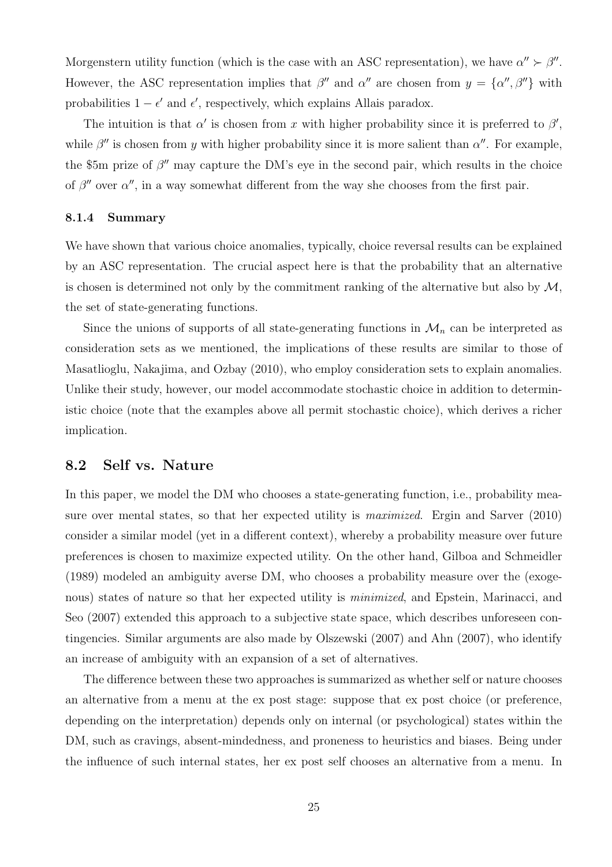Morgenstern utility function (which is the case with an ASC representation), we have  $\alpha'' > \beta''$ . However, the ASC representation implies that  $\beta''$  and  $\alpha''$  are chosen from  $y = {\alpha''}, \beta''$  with probabilities  $1 - \epsilon'$  and  $\epsilon'$ , respectively, which explains Allais paradox.

The intuition is that  $\alpha'$  is chosen from x with higher probability since it is preferred to  $\beta'$ , while  $\beta''$  is chosen from y with higher probability since it is more salient than  $\alpha''$ . For example, the \$5m prize of  $\beta''$  may capture the DM's eye in the second pair, which results in the choice of  $\beta''$  over  $\alpha''$ , in a way somewhat different from the way she chooses from the first pair.

#### 8.1.4 Summary

We have shown that various choice anomalies, typically, choice reversal results can be explained by an ASC representation. The crucial aspect here is that the probability that an alternative is chosen is determined not only by the commitment ranking of the alternative but also by  $\mathcal{M}$ , the set of state-generating functions.

Since the unions of supports of all state-generating functions in  $\mathcal{M}_n$  can be interpreted as consideration sets as we mentioned, the implications of these results are similar to those of Masatlioglu, Nakajima, and Ozbay (2010), who employ consideration sets to explain anomalies. Unlike their study, however, our model accommodate stochastic choice in addition to deterministic choice (note that the examples above all permit stochastic choice), which derives a richer implication.

### 8.2 Self vs. Nature

In this paper, we model the DM who chooses a state-generating function, i.e., probability measure over mental states, so that her expected utility is *maximized*. Ergin and Sarver (2010) consider a similar model (yet in a different context), whereby a probability measure over future preferences is chosen to maximize expected utility. On the other hand, Gilboa and Schmeidler (1989) modeled an ambiguity averse DM, who chooses a probability measure over the (exogenous) states of nature so that her expected utility is *minimized*, and Epstein, Marinacci, and Seo (2007) extended this approach to a subjective state space, which describes unforeseen contingencies. Similar arguments are also made by Olszewski (2007) and Ahn (2007), who identify an increase of ambiguity with an expansion of a set of alternatives.

The difference between these two approaches is summarized as whether self or nature chooses an alternative from a menu at the ex post stage: suppose that ex post choice (or preference, depending on the interpretation) depends only on internal (or psychological) states within the DM, such as cravings, absent-mindedness, and proneness to heuristics and biases. Being under the influence of such internal states, her ex post self chooses an alternative from a menu. In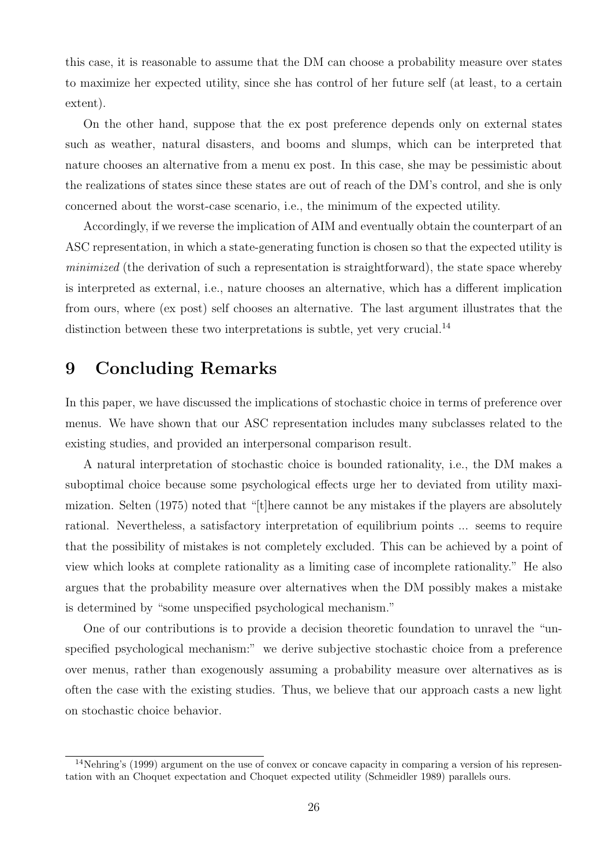this case, it is reasonable to assume that the DM can choose a probability measure over states to maximize her expected utility, since she has control of her future self (at least, to a certain extent).

On the other hand, suppose that the ex post preference depends only on external states such as weather, natural disasters, and booms and slumps, which can be interpreted that nature chooses an alternative from a menu ex post. In this case, she may be pessimistic about the realizations of states since these states are out of reach of the DM's control, and she is only concerned about the worst-case scenario, i.e., the minimum of the expected utility.

Accordingly, if we reverse the implication of AIM and eventually obtain the counterpart of an ASC representation, in which a state-generating function is chosen so that the expected utility is minimized (the derivation of such a representation is straightforward), the state space whereby is interpreted as external, i.e., nature chooses an alternative, which has a different implication from ours, where (ex post) self chooses an alternative. The last argument illustrates that the distinction between these two interpretations is subtle, yet very crucial.<sup>14</sup>

# 9 Concluding Remarks

In this paper, we have discussed the implications of stochastic choice in terms of preference over menus. We have shown that our ASC representation includes many subclasses related to the existing studies, and provided an interpersonal comparison result.

A natural interpretation of stochastic choice is bounded rationality, i.e., the DM makes a suboptimal choice because some psychological effects urge her to deviated from utility maximization. Selten (1975) noted that "[t]here cannot be any mistakes if the players are absolutely rational. Nevertheless, a satisfactory interpretation of equilibrium points ... seems to require that the possibility of mistakes is not completely excluded. This can be achieved by a point of view which looks at complete rationality as a limiting case of incomplete rationality." He also argues that the probability measure over alternatives when the DM possibly makes a mistake is determined by "some unspecified psychological mechanism."

One of our contributions is to provide a decision theoretic foundation to unravel the "unspecified psychological mechanism:" we derive subjective stochastic choice from a preference over menus, rather than exogenously assuming a probability measure over alternatives as is often the case with the existing studies. Thus, we believe that our approach casts a new light on stochastic choice behavior.

<sup>&</sup>lt;sup>14</sup>Nehring's (1999) argument on the use of convex or concave capacity in comparing a version of his representation with an Choquet expectation and Choquet expected utility (Schmeidler 1989) parallels ours.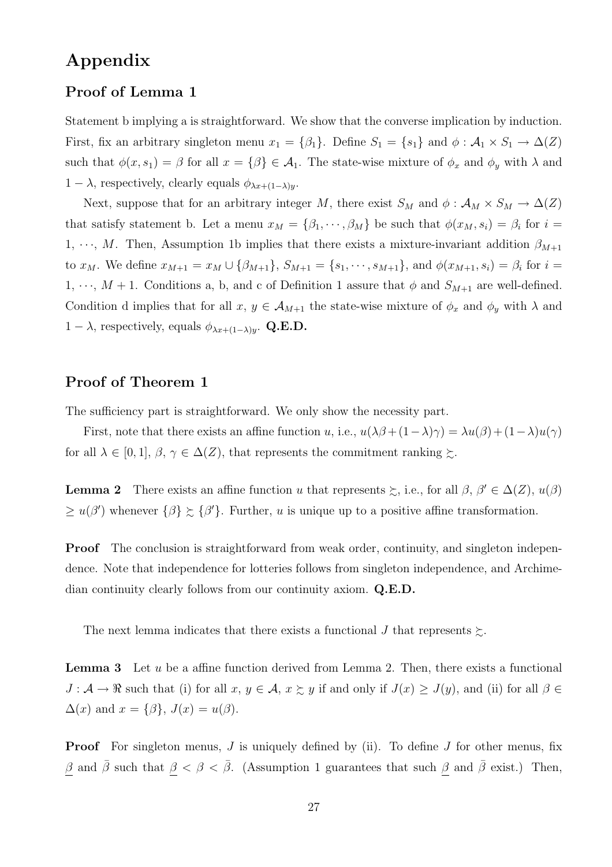# Appendix

### Proof of Lemma 1

Statement b implying a is straightforward. We show that the converse implication by induction. First, fix an arbitrary singleton menu  $x_1 = \{\beta_1\}$ . Define  $S_1 = \{s_1\}$  and  $\phi : A_1 \times S_1 \to \Delta(Z)$ such that  $\phi(x, s_1) = \beta$  for all  $x = {\beta} \in \mathcal{A}_1$ . The state-wise mixture of  $\phi_x$  and  $\phi_y$  with  $\lambda$  and  $1 - \lambda$ , respectively, clearly equals  $\phi_{\lambda x + (1-\lambda)y}$ .

Next, suppose that for an arbitrary integer M, there exist  $S_M$  and  $\phi : \mathcal{A}_M \times S_M \to \Delta(Z)$ that satisfy statement b. Let a menu  $x_M = \{\beta_1, \dots, \beta_M\}$  be such that  $\phi(x_M, s_i) = \beta_i$  for  $i =$ 1,  $\cdots$ , M. Then, Assumption 1b implies that there exists a mixture-invariant addition  $\beta_{M+1}$ to  $x_M$ . We define  $x_{M+1} = x_M \cup {\beta_{M+1}}, S_{M+1} = {s_1, \dots, s_{M+1}}, \text{ and } \phi(x_{M+1}, s_i) = \beta_i \text{ for } i =$  $1, \dots, M+1$ . Conditions a, b, and c of Definition 1 assure that  $\phi$  and  $S_{M+1}$  are well-defined. Condition d implies that for all  $x, y \in A_{M+1}$  the state-wise mixture of  $\phi_x$  and  $\phi_y$  with  $\lambda$  and  $1 - \lambda$ , respectively, equals  $\phi_{\lambda x + (1 - \lambda)y}$ . Q.E.D.

### Proof of Theorem 1

The sufficiency part is straightforward. We only show the necessity part.

First, note that there exists an affine function u, i.e.,  $u(\lambda\beta + (1-\lambda)\gamma) = \lambda u(\beta) + (1-\lambda)u(\gamma)$ for all  $\lambda \in [0,1], \beta, \gamma \in \Delta(Z)$ , that represents the commitment ranking  $\succsim$ .

**Lemma 2** There exists an affine function u that represents  $\geq$ , i.e., for all  $\beta$ ,  $\beta' \in \Delta(Z)$ ,  $u(\beta)$  $\geq u(\beta')$  whenever  $\{\beta\} \succeq {\{\beta'}\}$ . Further, u is unique up to a positive affine transformation.

**Proof** The conclusion is straightforward from weak order, continuity, and singleton independence. Note that independence for lotteries follows from singleton independence, and Archimedian continuity clearly follows from our continuity axiom. Q.E.D.

The next lemma indicates that there exists a functional J that represents  $\succsim$ .

**Lemma 3** Let  $u$  be a affine function derived from Lemma 2. Then, there exists a functional  $J: \mathcal{A} \to \mathbb{R}$  such that (i) for all  $x, y \in \mathcal{A}$ ,  $x \succsim y$  if and only if  $J(x) \geq J(y)$ , and (ii) for all  $\beta \in$  $\Delta(x)$  and  $x = {\beta}, J(x) = u(\beta)$ .

**Proof** For singleton menus,  $J$  is uniquely defined by (ii). To define  $J$  for other menus, fix  $\beta$  and  $\bar{\beta}$  such that  $\beta < \beta < \bar{\beta}$ . (Assumption 1 guarantees that such  $\beta$  and  $\bar{\beta}$  exist.) Then,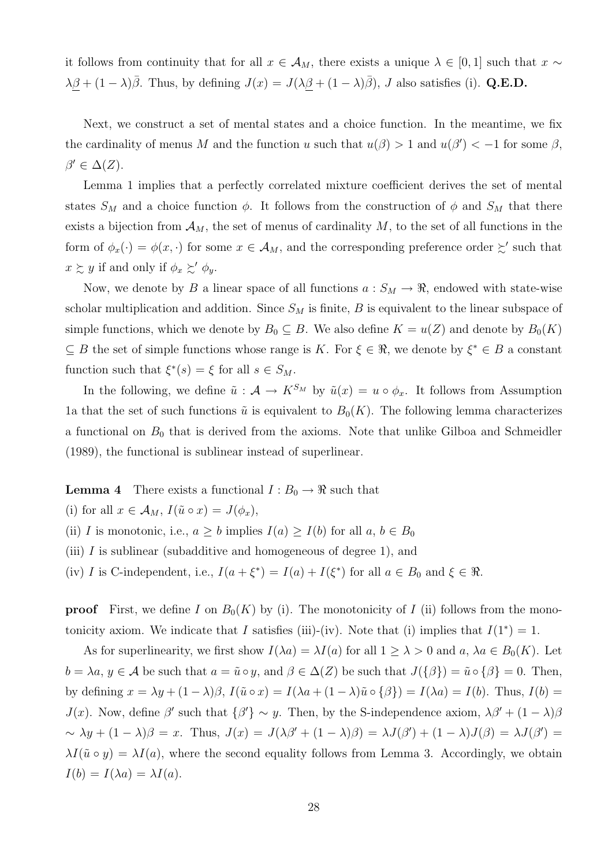it follows from continuity that for all  $x \in A_M$ , there exists a unique  $\lambda \in [0,1]$  such that  $x \sim$  $\lambda\beta + (1-\lambda)\overline{\beta}$ . Thus, by defining  $J(x) = J(\lambda\beta + (1-\lambda)\overline{\beta})$ , J also satisfies (i). Q.E.D.

Next, we construct a set of mental states and a choice function. In the meantime, we fix the cardinality of menus M and the function u such that  $u(\beta) > 1$  and  $u(\beta') < -1$  for some  $\beta$ ,  $\beta' \in \Delta(Z)$ .

Lemma 1 implies that a perfectly correlated mixture coefficient derives the set of mental states  $S_M$  and a choice function  $\phi$ . It follows from the construction of  $\phi$  and  $S_M$  that there exists a bijection from  $A_M$ , the set of menus of cardinality M, to the set of all functions in the form of  $\phi_x(\cdot) = \phi(x, \cdot)$  for some  $x \in A_M$ , and the corresponding preference order  $\succsim'$  such that  $x \gtrsim y$  if and only if  $\phi_x \gtrsim' \phi_y$ .

Now, we denote by B a linear space of all functions  $a: S_M \to \mathbb{R}$ , endowed with state-wise scholar multiplication and addition. Since  $S_M$  is finite, B is equivalent to the linear subspace of simple functions, which we denote by  $B_0 \subseteq B$ . We also define  $K = u(Z)$  and denote by  $B_0(K)$  $\subseteq B$  the set of simple functions whose range is K. For  $\xi \in \Re$ , we denote by  $\xi^* \in B$  a constant function such that  $\xi^*(s) = \xi$  for all  $s \in S_M$ .

In the following, we define  $\tilde{u}: A \to K^{S_M}$  by  $\tilde{u}(x) = u \circ \phi_x$ . It follows from Assumption 1a that the set of such functions  $\tilde{u}$  is equivalent to  $B_0(K)$ . The following lemma characterizes a functional on  $B_0$  that is derived from the axioms. Note that unlike Gilboa and Schmeidler (1989), the functional is sublinear instead of superlinear.

**Lemma 4** There exists a functional  $I : B_0 \to \mathbb{R}$  such that

(i) for all  $x \in \mathcal{A}_M$ ,  $I(\tilde{u} \circ x) = J(\phi_x)$ ,

(ii) I is monotonic, i.e.,  $a \geq b$  implies  $I(a) \geq I(b)$  for all  $a, b \in B_0$ 

- (iii)  $I$  is sublinear (subadditive and homogeneous of degree 1), and
- (iv) I is C-independent, i.e.,  $I(a+\xi^*) = I(a) + I(\xi^*)$  for all  $a \in B_0$  and  $\xi \in \Re$ .

**proof** First, we define I on  $B_0(K)$  by (i). The monotonicity of I (ii) follows from the monotonicity axiom. We indicate that I satisfies (iii)-(iv). Note that (i) implies that  $I(1^*) = 1$ .

As for superlinearity, we first show  $I(\lambda a) = \lambda I(a)$  for all  $1 \geq \lambda > 0$  and  $a, \lambda a \in B_0(K)$ . Let  $b = \lambda a, y \in \mathcal{A}$  be such that  $a = \tilde{u} \circ y$ , and  $\beta \in \Delta(Z)$  be such that  $J(\{\beta\}) = \tilde{u} \circ {\beta} = 0$ . Then, by defining  $x = \lambda y + (1 - \lambda)\beta$ ,  $I(\tilde{u} \circ x) = I(\lambda a + (1 - \lambda)\tilde{u} \circ {\beta}) = I(\lambda a) = I(b)$ . Thus,  $I(b) =$ J(x). Now, define β' such that  $\{\beta'\}\sim y$ . Then, by the S-independence axiom,  $\lambda\beta' + (1-\lambda)\beta$  $\sim \lambda y + (1 - \lambda)\beta = x$ . Thus,  $J(x) = J(\lambda\beta' + (1 - \lambda)\beta) = \lambda J(\beta') + (1 - \lambda)J(\beta) = \lambda J(\beta') =$  $\lambda I(\tilde{u} \circ y) = \lambda I(a)$ , where the second equality follows from Lemma 3. Accordingly, we obtain  $I(b) = I(\lambda a) = \lambda I(a).$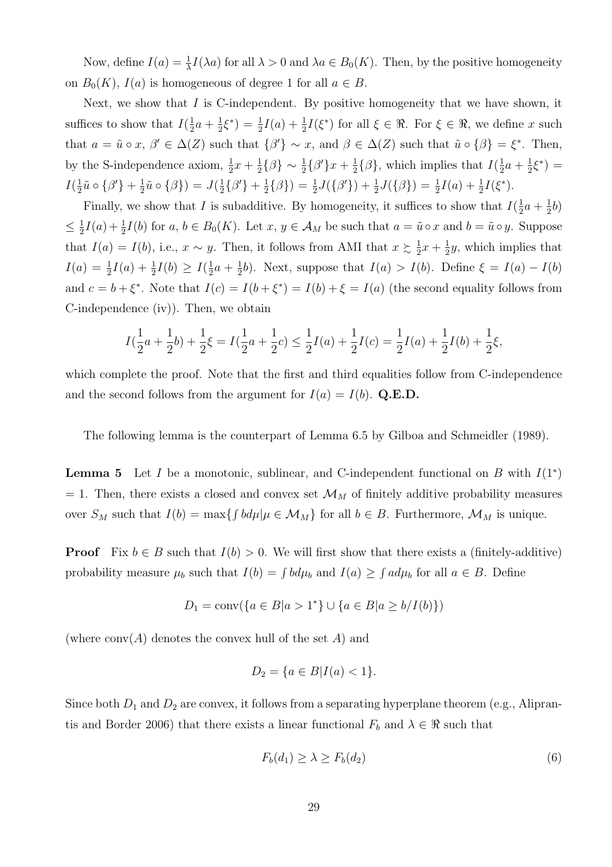Now, define  $I(a) = \frac{1}{\lambda} I(\lambda a)$  for all  $\lambda > 0$  and  $\lambda a \in B_0(K)$ . Then, by the positive homogeneity on  $B_0(K)$ ,  $I(a)$  is homogeneous of degree 1 for all  $a \in B$ .

Next, we show that  $I$  is C-independent. By positive homogeneity that we have shown, it suffices to show that  $I(\frac{1}{2})$  $rac{1}{2}a + \frac{1}{2}$  $\frac{1}{2}\xi^*$ ) =  $\frac{1}{2}I(a) + \frac{1}{2}I(\xi^*)$  for all  $\xi \in \Re$ . For  $\xi \in \Re$ , we define x such that  $a = \tilde{u} \circ x, \beta' \in \Delta(Z)$  such that  $\{\beta'\} \sim x$ , and  $\beta \in \Delta(Z)$  such that  $\tilde{u} \circ \{\beta\} = \xi^*$ . Then, by the S-independence axiom,  $\frac{1}{2}x + \frac{1}{2}$  $\frac{1}{2} \{\beta\} \sim \frac{1}{2} \{\beta'\} x + \frac{1}{2}$  $\frac{1}{2}$ { $\beta$ }, which implies that  $I(\frac{1}{2})$  $rac{1}{2}a + \frac{1}{2}$  $\frac{1}{2}\xi^*$ ) =  $I(\frac{1}{2})$  $\frac{1}{2}\tilde{u} \circ \{\beta'\} + \frac{1}{2}$  $\frac{1}{2}\tilde{u} \circ (\beta) = J(\frac{1}{2})$  $\frac{1}{2}$ { $\beta'$ } +  $\frac{1}{2}$  $\frac{1}{2} \{ \beta \}$ ) =  $\frac{1}{2} J(\{\beta'\}) + \frac{1}{2} J(\{\beta\}) = \frac{1}{2} I(a) + \frac{1}{2} I(\xi^*).$ 

Finally, we show that I is subadditive. By homogeneity, it suffices to show that  $I(\frac{1}{2})$  $rac{1}{2}a + \frac{1}{2}$  $rac{1}{2}b)$  $\leq \frac{1}{2}$  $\frac{1}{2}I(a) + \frac{1}{2}I(b)$  for  $a, b \in B_0(K)$ . Let  $x, y \in A_M$  be such that  $a = \tilde{u} \circ x$  and  $b = \tilde{u} \circ y$ . Suppose that  $I(a) = I(b)$ , i.e.,  $x \sim y$ . Then, it follows from AMI that  $x \geq \frac{1}{2}$  $rac{1}{2}x + \frac{1}{2}$  $\frac{1}{2}y$ , which implies that  $I(a) = \frac{1}{2}I(a) + \frac{1}{2}I(b) \geq I(\frac{1}{2})$  $rac{1}{2}a + \frac{1}{2}$  $\frac{1}{2}b$ ). Next, suppose that  $I(a) > I(b)$ . Define  $\xi = I(a) - I(b)$ and  $c = b + \xi^*$ . Note that  $I(c) = I(b + \xi^*) = I(b) + \xi = I(a)$  (the second equality follows from C-independence (iv)). Then, we obtain

$$
I(\frac{1}{2}a + \frac{1}{2}b) + \frac{1}{2}\xi = I(\frac{1}{2}a + \frac{1}{2}c) \le \frac{1}{2}I(a) + \frac{1}{2}I(c) = \frac{1}{2}I(a) + \frac{1}{2}I(b) + \frac{1}{2}\xi,
$$

which complete the proof. Note that the first and third equalities follow from C-independence and the second follows from the argument for  $I(a) = I(b)$ . Q.E.D.

The following lemma is the counterpart of Lemma 6.5 by Gilboa and Schmeidler (1989).

**Lemma 5** Let I be a monotonic, sublinear, and C-independent functional on B with  $I(1^*)$  $= 1$ . Then, there exists a closed and convex set  $\mathcal{M}_M$  of finitely additive probability measures over  $S_M$  such that  $I(b) = \max\{ \int bd\mu | \mu \in \mathcal{M}_M \}$  for all  $b \in B$ . Furthermore,  $\mathcal{M}_M$  is unique.

**Proof** Fix  $b \in B$  such that  $I(b) > 0$ . We will first show that there exists a (finitely-additive) probability measure  $\mu_b$  such that  $I(b) = \int bd\mu_b$  and  $I(a) \geq \int ad\mu_b$  for all  $a \in B$ . Define

$$
D_1 = \text{conv}(\{a \in B | a > 1^*\} \cup \{a \in B | a \ge b / I(b)\})
$$

(where  $conv(A)$  denotes the convex hull of the set A) and

$$
D_2 = \{ a \in B | I(a) < 1 \}.
$$

Since both  $D_1$  and  $D_2$  are convex, it follows from a separating hyperplane theorem (e.g., Aliprantis and Border 2006) that there exists a linear functional  $F_b$  and  $\lambda \in \Re$  such that

$$
F_b(d_1) \ge \lambda \ge F_b(d_2) \tag{6}
$$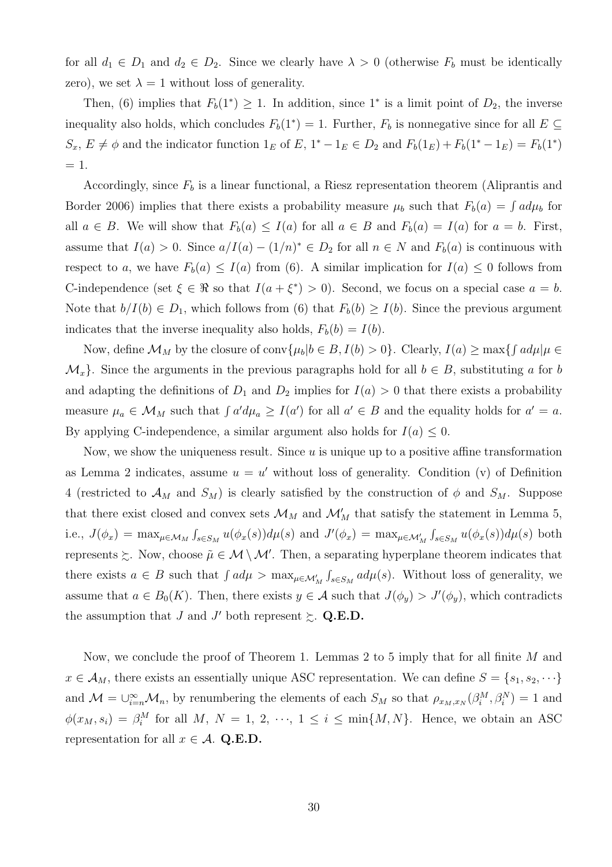for all  $d_1 \in D_1$  and  $d_2 \in D_2$ . Since we clearly have  $\lambda > 0$  (otherwise  $F_b$  must be identically zero), we set  $\lambda = 1$  without loss of generality.

Then, (6) implies that  $F_b(1^*) \geq 1$ . In addition, since 1<sup>\*</sup> is a limit point of  $D_2$ , the inverse inequality also holds, which concludes  $F_b(1^*) = 1$ . Further,  $F_b$  is nonnegative since for all  $E \subseteq$  $S_x, E \neq \emptyset$  and the indicator function  $1_E$  of  $E, 1^* - 1_E \in D_2$  and  $F_b(1_E) + F_b(1^* - 1_E) = F_b(1^*)$  $= 1$ .

Accordingly, since  $F_b$  is a linear functional, a Riesz representation theorem (Aliprantis and Border 2006) implies that there exists a probability measure  $\mu_b$  such that  $F_b(a) = \int a d\mu_b$  for all  $a \in B$ . We will show that  $F_b(a) \leq I(a)$  for all  $a \in B$  and  $F_b(a) = I(a)$  for  $a = b$ . First, assume that  $I(a) > 0$ . Since  $a/I(a) - (1/n)^* \in D_2$  for all  $n \in N$  and  $F_b(a)$  is continuous with respect to a, we have  $F_b(a) \leq I(a)$  from (6). A similar implication for  $I(a) \leq 0$  follows from C-independence (set  $\xi \in \Re$  so that  $I(a + \xi^*) > 0$ ). Second, we focus on a special case  $a = b$ . Note that  $b/I(b) \in D_1$ , which follows from (6) that  $F_b(b) \geq I(b)$ . Since the previous argument indicates that the inverse inequality also holds,  $F_b(b) = I(b)$ .

Now, define  $\mathcal{M}_M$  by the closure of conv $\{\mu_b | b \in B, I(b) > 0\}$ . Clearly,  $I(a) \ge \max\{ \int a d\mu | \mu \in B, I(b) > 0\}$  $\mathcal{M}_x$ . Since the arguments in the previous paragraphs hold for all  $b \in B$ , substituting a for b and adapting the definitions of  $D_1$  and  $D_2$  implies for  $I(a) > 0$  that there exists a probability measure  $\mu_a \in \mathcal{M}_M$  such that  $\int a'd\mu_a \geq I(a')$  for all  $a' \in B$  and the equality holds for  $a' = a$ . By applying C-independence, a similar argument also holds for  $I(a) \leq 0$ .

Now, we show the uniqueness result. Since  $u$  is unique up to a positive affine transformation as Lemma 2 indicates, assume  $u = u'$  without loss of generality. Condition (v) of Definition 4 (restricted to  $\mathcal{A}_M$  and  $S_M$ ) is clearly satisfied by the construction of  $\phi$  and  $S_M$ . Suppose that there exist closed and convex sets  $\mathcal{M}_M$  and  $\mathcal{M}'_M$  that satisfy the statement in Lemma 5, i.e.,  $J(\phi_x) = \max_{\mu \in \mathcal{M}_M} \int$  $\int_{s \in S_M} u(\phi_x(s)) d\mu(s)$  and  $J'(\phi_x) = \max_{\mu \in \mathcal{M}'_M}$ R  $\int_{s \in S_M} u(\phi_x(s)) d\mu(s)$  both represents  $\gtrsim$ . Now, choose  $\tilde{\mu} \in \mathcal{M} \setminus \mathcal{M}'$ . Then, a separating hyperplane theorem indicates that there exists  $a \in B$  such that  $\int a d\mu > \max_{\mu \in \mathcal{M}'_M}$ R  $\int_{s \in S_M} ad\mu(s)$ . Without loss of generality, we assume that  $a \in B_0(K)$ . Then, there exists  $y \in A$  such that  $J(\phi_y) > J'(\phi_y)$ , which contradicts the assumption that J and J' both represent  $\succsim$  Q.E.D.

Now, we conclude the proof of Theorem 1. Lemmas 2 to 5 imply that for all finite  $M$  and  $x \in A_M$ , there exists an essentially unique ASC representation. We can define  $S = \{s_1, s_2, \dots\}$ and  $\mathcal{M} = \bigcup_{i=n}^{\infty} \mathcal{M}_n$ , by renumbering the elements of each  $S_M$  so that  $\rho_{x_M,x_N}(\beta_i^M, \beta_i^N) = 1$  and  $\phi(x_M, s_i) = \beta_i^M$  for all M,  $N = 1, 2, \dots, 1 \le i \le \min\{M, N\}.$  Hence, we obtain an ASC representation for all  $x \in A$ . Q.E.D.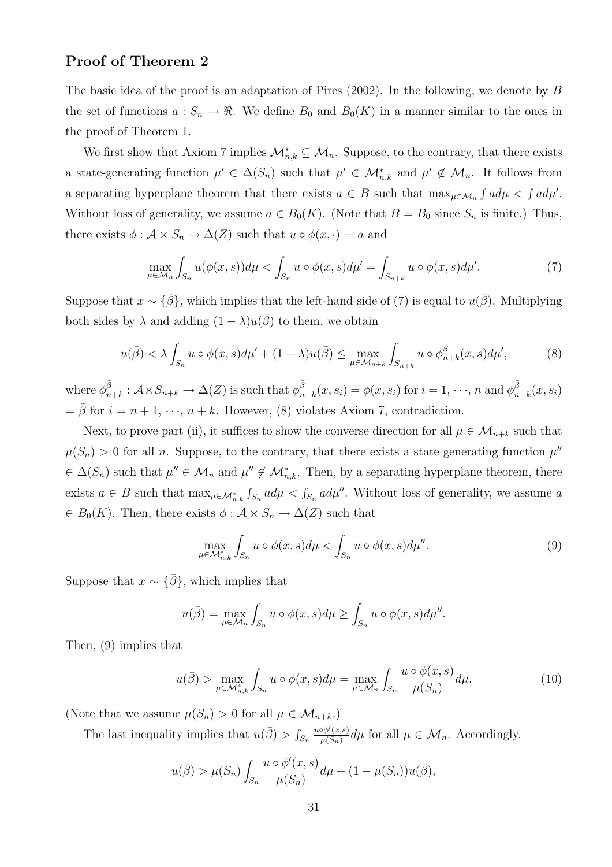### Proof of Theorem 2

The basic idea of the proof is an adaptation of Pires  $(2002)$ . In the following, we denote by B the set of functions  $a: S_n \to \mathbb{R}$ . We define  $B_0$  and  $B_0(K)$  in a manner similar to the ones in the proof of Theorem 1.

We first show that Axiom 7 implies  $\mathcal{M}_{n,k}^* \subseteq \mathcal{M}_n$ . Suppose, to the contrary, that there exists a state-generating function  $\mu' \in \Delta(S_n)$  such that  $\mu' \in \mathcal{M}_{n,k}^*$  and  $\mu' \notin \mathcal{M}_n$ . It follows from a separating hyperplane theorem that there exists  $a \in B$  such that  $\max_{\mu \in \mathcal{M}_n} \int a d\mu < \int a d\mu'$ . Without loss of generality, we assume  $a \in B_0(K)$ . (Note that  $B = B_0$  since  $S_n$  is finite.) Thus, there exists  $\phi : \mathcal{A} \times S_n \to \Delta(Z)$  such that  $u \circ \phi(x, \cdot) = a$  and

$$
\max_{\mu \in \mathcal{M}_n} \int_{S_n} u(\phi(x, s)) d\mu < \int_{S_n} u \circ \phi(x, s) d\mu' = \int_{S_{n+k}} u \circ \phi(x, s) d\mu'. \tag{7}
$$

Suppose that  $x \sim {\bar{\beta}}$ , which implies that the left-hand-side of (7) is equal to  $u(\bar{\beta})$ . Multiplying both sides by  $\lambda$  and adding  $(1 - \lambda)u(\overline{\beta})$  to them, we obtain

$$
u(\bar{\beta}) < \lambda \int_{S_n} u \circ \phi(x, s) d\mu' + (1 - \lambda) u(\bar{\beta}) \le \max_{\mu \in \mathcal{M}_{n+k}} \int_{S_{n+k}} u \circ \phi_{n+k}^{\bar{\beta}}(x, s) d\mu', \tag{8}
$$

where  $\phi_n^{\bar{\beta}}$  $\bar\beta_{n+k}: \mathcal{A} \times S_{n+k} \to \Delta(Z)$  is such that  $\phi_n^{\bar{\beta}}$  $\bar{\beta}_{n+k}(x, s_i) = \phi(x, s_i)$  for  $i = 1, \dots, n$  and  $\phi_n^{\bar{\beta}}$  $_{n+k}^{\beta}(x,s_i)$  $=\bar{\beta}$  for  $i = n + 1, \dots, n + k$ . However, (8) violates Axiom 7, contradiction.

Next, to prove part (ii), it suffices to show the converse direction for all  $\mu \in \mathcal{M}_{n+k}$  such that  $\mu(S_n) > 0$  for all n. Suppose, to the contrary, that there exists a state-generating function  $\mu''$  $\in \Delta(S_n)$  such that  $\mu'' \in \mathcal{M}_n$  and  $\mu'' \notin \mathcal{M}_{n,k}^*$ . Then, by a separating hyperplane theorem, there exists  $a \in B$  such that  $\max_{\mu \in \mathcal{M}_{n,k}^*}$ R  $\int_{S_n} a d\mu < \int_{S_n} a d\mu''$ . Without loss of generality, we assume a  $\in B_0(K)$ . Then, there exists  $\phi : \mathcal{A} \times S_n \to \Delta(Z)$  such that

$$
\max_{\mu \in \mathcal{M}_{n,k}^*} \int_{S_n} u \circ \phi(x, s) d\mu < \int_{S_n} u \circ \phi(x, s) d\mu''.
$$
 (9)

Suppose that  $x \sim {\bar{\beta}}$ , which implies that

$$
u(\bar{\beta}) = \max_{\mu \in \mathcal{M}_n} \int_{S_n} u \circ \phi(x, s) d\mu \ge \int_{S_n} u \circ \phi(x, s) d\mu''.
$$

Then, (9) implies that

$$
u(\bar{\beta}) > \max_{\mu \in \mathcal{M}_{n,k}^*} \int_{S_n} u \circ \phi(x, s) d\mu = \max_{\mu \in \mathcal{M}_n} \int_{S_n} \frac{u \circ \phi(x, s)}{\mu(S_n)} d\mu.
$$
 (10)

(Note that we assume  $\mu(S_n) > 0$  for all  $\mu \in \mathcal{M}_{n+k}$ .)

The last inequality implies that  $u(\bar{\beta}) > 0$  $\scriptstyle S_n$  $u \circ \phi'(x,s)$  $\frac{\partial \phi'(x,s)}{\mu(S_n)} d\mu$  for all  $\mu \in \mathcal{M}_n$ . Accordingly,

$$
u(\bar{\beta}) > \mu(S_n) \int_{S_n} \frac{u \circ \phi'(x, s)}{\mu(S_n)} d\mu + (1 - \mu(S_n))u(\bar{\beta}),
$$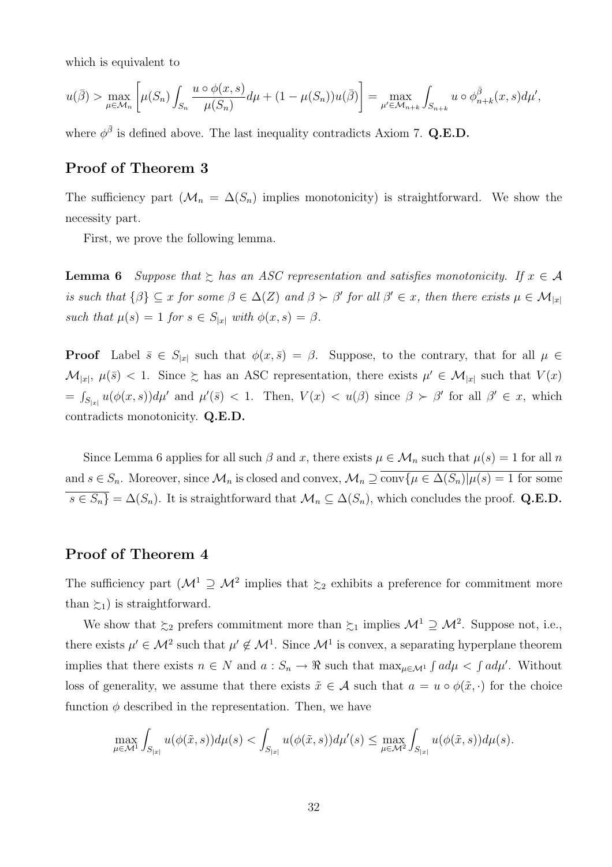which is equivalent to

$$
u(\bar{\beta}) > \max_{\mu \in \mathcal{M}_n} \left[ \mu(S_n) \int_{S_n} \frac{u \circ \phi(x, s)}{\mu(S_n)} d\mu + (1 - \mu(S_n)) u(\bar{\beta}) \right] = \max_{\mu' \in \mathcal{M}_{n+k}} \int_{S_{n+k}} u \circ \phi_{n+k}^{\bar{\beta}}(x, s) d\mu',
$$

where  $\phi^{\bar{\beta}}$  is defined above. The last inequality contradicts Axiom 7. Q.E.D.

### Proof of Theorem 3

The sufficiency part  $(\mathcal{M}_n = \Delta(S_n))$  implies monotonicity) is straightforward. We show the necessity part.

First, we prove the following lemma.

**Lemma 6** Suppose that  $\geq$  has an ASC representation and satisfies monotonicity. If  $x \in A$ is such that  $\{\beta\} \subseteq x$  for some  $\beta \in \Delta(Z)$  and  $\beta \succ \beta'$  for all  $\beta' \in x$ , then there exists  $\mu \in \mathcal{M}_{|x|}$ such that  $\mu(s) = 1$  for  $s \in S_{|x|}$  with  $\phi(x, s) = \beta$ .

**Proof** Label  $\bar{s} \in S_{|x|}$  such that  $\phi(x, \bar{s}) = \beta$ . Suppose, to the contrary, that for all  $\mu \in$  $\mathcal{M}_{|x|}, \mu(\bar{s}) < 1.$  Since  $\succsim$  has an ASC representation, there exists  $\mu' \in \mathcal{M}_{|x|}$  such that  $V(x)$  $=$   $\frac{1}{2}$  $\int_{S_{|x|}} u(\phi(x, s)) d\mu'$  and  $\mu'(\bar{s}) < 1$ . Then,  $V(x) < u(\beta)$  since  $\beta \succ \beta'$  for all  $\beta' \in x$ , which contradicts monotonicity. Q.E.D.

Since Lemma 6 applies for all such  $\beta$  and x, there exists  $\mu \in \mathcal{M}_n$  such that  $\mu(s) = 1$  for all n and  $s \in S_n$ . Moreover, since  $\mathcal{M}_n$  is closed and convex,  $\mathcal{M}_n \supseteq \overline{\text{conv}\{\mu \in \Delta(S_n)|\mu(s)=1\text{ for some }s\}}$  $\overline{s \in S_n} = \Delta(S_n)$ . It is straightforward that  $\mathcal{M}_n \subseteq \Delta(S_n)$ , which concludes the proof. Q.E.D.

### Proof of Theorem 4

The sufficiency part  $(M^1 \supseteq M^2)$  implies that  $\succsim_2$  exhibits a preference for commitment more than  $\geq_1$ ) is straightforward.

We show that  $\succsim_2$  prefers commitment more than  $\succsim_1$  implies  $\mathcal{M}^1 \supseteq \mathcal{M}^2$ . Suppose not, i.e., there exists  $\mu' \in M^2$  such that  $\mu' \notin M^1$ . Since  $M^1$  is convex, a separating hyperplane theorem implies that there exists  $n \in N$  and  $a : S_n \to \Re$  such that  $\max_{\mu \in \mathcal{M}^1} \int a d\mu < \int a d\mu'$ . Without loss of generality, we assume that there exists  $\tilde{x} \in \mathcal{A}$  such that  $a = u \circ \phi(\tilde{x}, \cdot)$  for the choice function  $\phi$  described in the representation. Then, we have

$$
\max_{\mu \in \mathcal{M}^1} \int_{S_{|x|}} u(\phi(\tilde{x}, s)) d\mu(s) < \int_{S_{|x|}} u(\phi(\tilde{x}, s)) d\mu'(s) \le \max_{\mu \in \mathcal{M}^2} \int_{S_{|x|}} u(\phi(\tilde{x}, s)) d\mu(s).
$$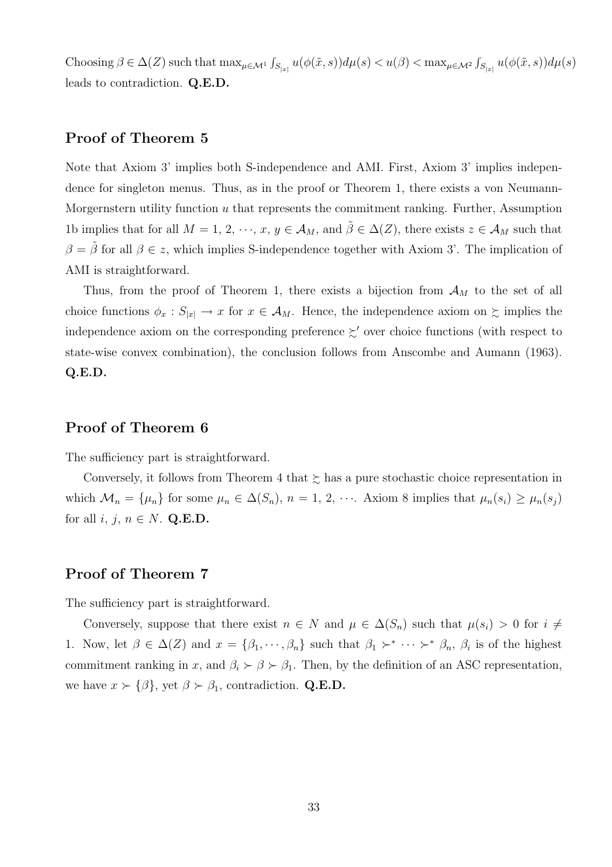Choosing  $\beta \in \Delta(Z)$  such that  $\max_{\mu \in \mathcal{M}^1} \int$  $\int_{S_{|x|}} u(\phi(\tilde{x}, s)) d\mu(s) < u(\beta) < \max_{\mu \in \mathcal{M}^2} \int$  $\int_{S_{|x|}} u(\phi(\tilde{x},s)) d\mu(s)$ leads to contradiction. Q.E.D.

### Proof of Theorem 5

Note that Axiom 3' implies both S-independence and AMI. First, Axiom 3' implies independence for singleton menus. Thus, as in the proof or Theorem 1, there exists a von Neumann-Morgernstern utility function  $u$  that represents the commitment ranking. Further, Assumption 1b implies that for all  $M = 1, 2, \dots, x, y \in A_M$ , and  $\hat{\beta} \in \Delta(Z)$ , there exists  $z \in A_M$  such that  $\beta = \beta$  for all  $\beta \in z$ , which implies S-independence together with Axiom 3'. The implication of AMI is straightforward.

Thus, from the proof of Theorem 1, there exists a bijection from  $\mathcal{A}_M$  to the set of all choice functions  $\phi_x : S_{|x|} \to x$  for  $x \in A_M$ . Hence, the independence axiom on  $\succsim$  implies the independence axiom on the corresponding preference  $\succsim'$  over choice functions (with respect to state-wise convex combination), the conclusion follows from Anscombe and Aumann (1963). Q.E.D.

### Proof of Theorem 6

The sufficiency part is straightforward.

Conversely, it follows from Theorem 4 that  $\succsim$  has a pure stochastic choice representation in which  $\mathcal{M}_n = {\mu_n}$  for some  $\mu_n \in \Delta(S_n)$ ,  $n = 1, 2, \cdots$ . Axiom 8 implies that  $\mu_n(s_i) \geq \mu_n(s_j)$ for all  $i, j, n \in N$ . Q.E.D.

### Proof of Theorem 7

The sufficiency part is straightforward.

Conversely, suppose that there exist  $n \in N$  and  $\mu \in \Delta(S_n)$  such that  $\mu(s_i) > 0$  for  $i \neq$ 1. Now, let  $\beta \in \Delta(Z)$  and  $x = {\beta_1, \dots, \beta_n}$  such that  $\beta_1 \succ^* \dots \succ^* \beta_n$ ,  $\beta_i$  is of the highest commitment ranking in x, and  $\beta_i \succ \beta \succ \beta_1$ . Then, by the definition of an ASC representation, we have  $x \succ {\beta}$ , yet  $\beta \succ \beta_1$ , contradiction. Q.E.D.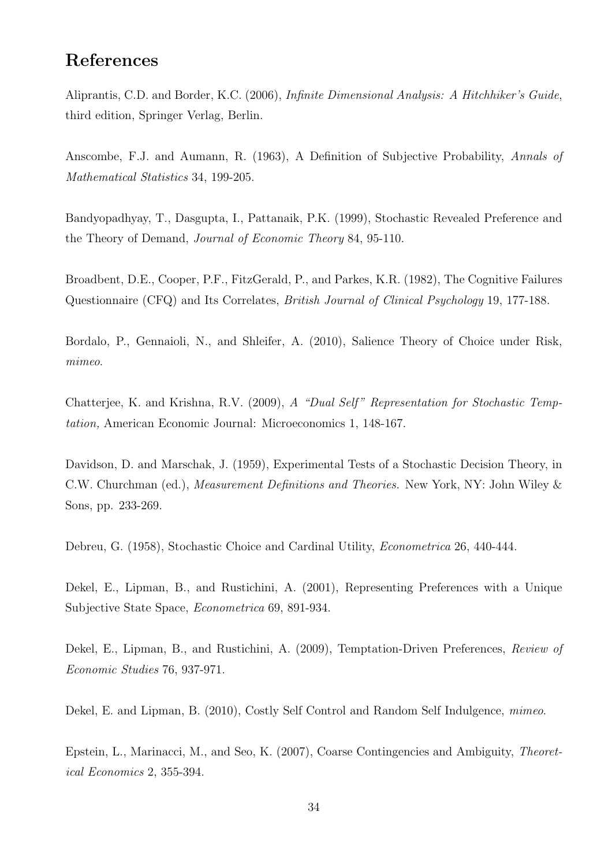# References

Aliprantis, C.D. and Border, K.C. (2006), Infinite Dimensional Analysis: A Hitchhiker's Guide, third edition, Springer Verlag, Berlin.

Anscombe, F.J. and Aumann, R. (1963), A Definition of Subjective Probability, Annals of Mathematical Statistics 34, 199-205.

Bandyopadhyay, T., Dasgupta, I., Pattanaik, P.K. (1999), Stochastic Revealed Preference and the Theory of Demand, Journal of Economic Theory 84, 95-110.

Broadbent, D.E., Cooper, P.F., FitzGerald, P., and Parkes, K.R. (1982), The Cognitive Failures Questionnaire (CFQ) and Its Correlates, British Journal of Clinical Psychology 19, 177-188.

Bordalo, P., Gennaioli, N., and Shleifer, A. (2010), Salience Theory of Choice under Risk, mimeo.

Chatterjee, K. and Krishna, R.V. (2009), A "Dual Self" Representation for Stochastic Temptation, American Economic Journal: Microeconomics 1, 148-167.

Davidson, D. and Marschak, J. (1959), Experimental Tests of a Stochastic Decision Theory, in C.W. Churchman (ed.), Measurement Definitions and Theories. New York, NY: John Wiley & Sons, pp. 233-269.

Debreu, G. (1958), Stochastic Choice and Cardinal Utility, Econometrica 26, 440-444.

Dekel, E., Lipman, B., and Rustichini, A. (2001), Representing Preferences with a Unique Subjective State Space, Econometrica 69, 891-934.

Dekel, E., Lipman, B., and Rustichini, A. (2009), Temptation-Driven Preferences, Review of Economic Studies 76, 937-971.

Dekel, E. and Lipman, B. (2010), Costly Self Control and Random Self Indulgence, *mimeo.* 

Epstein, L., Marinacci, M., and Seo, K. (2007), Coarse Contingencies and Ambiguity, Theoretical Economics 2, 355-394.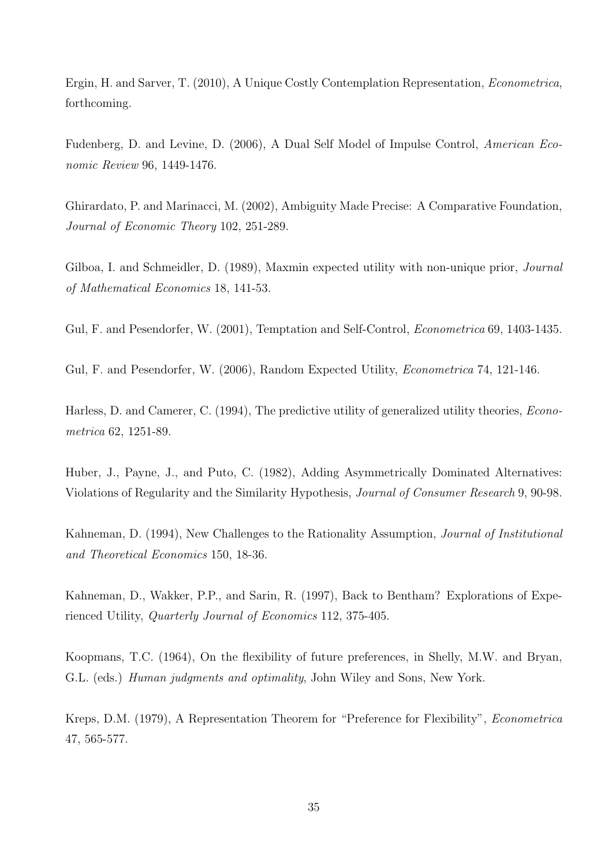Ergin, H. and Sarver, T. (2010), A Unique Costly Contemplation Representation, Econometrica, forthcoming.

Fudenberg, D. and Levine, D. (2006), A Dual Self Model of Impulse Control, American Economic Review 96, 1449-1476.

Ghirardato, P. and Marinacci, M. (2002), Ambiguity Made Precise: A Comparative Foundation, Journal of Economic Theory 102, 251-289.

Gilboa, I. and Schmeidler, D. (1989), Maxmin expected utility with non-unique prior, *Journal* of Mathematical Economics 18, 141-53.

Gul, F. and Pesendorfer, W. (2001), Temptation and Self-Control, *Econometrica* 69, 1403-1435.

Gul, F. and Pesendorfer, W. (2006), Random Expected Utility, Econometrica 74, 121-146.

Harless, D. and Camerer, C. (1994), The predictive utility of generalized utility theories, *Econo*metrica 62, 1251-89.

Huber, J., Payne, J., and Puto, C. (1982), Adding Asymmetrically Dominated Alternatives: Violations of Regularity and the Similarity Hypothesis, Journal of Consumer Research 9, 90-98.

Kahneman, D. (1994), New Challenges to the Rationality Assumption, *Journal of Institutional* and Theoretical Economics 150, 18-36.

Kahneman, D., Wakker, P.P., and Sarin, R. (1997), Back to Bentham? Explorations of Experienced Utility, Quarterly Journal of Economics 112, 375-405.

Koopmans, T.C. (1964), On the flexibility of future preferences, in Shelly, M.W. and Bryan, G.L. (eds.) *Human judgments and optimality*, John Wiley and Sons, New York.

Kreps, D.M. (1979), A Representation Theorem for "Preference for Flexibility", Econometrica 47, 565-577.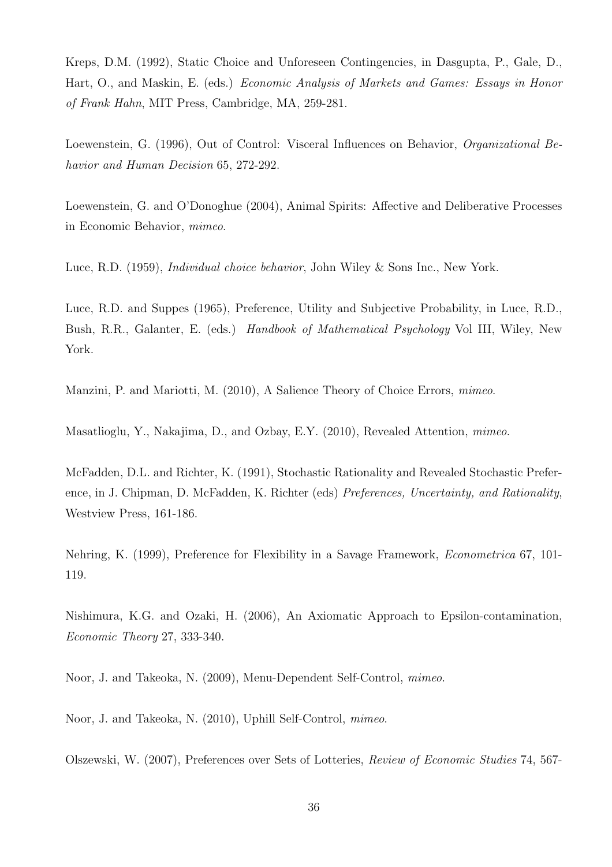Kreps, D.M. (1992), Static Choice and Unforeseen Contingencies, in Dasgupta, P., Gale, D., Hart, O., and Maskin, E. (eds.) Economic Analysis of Markets and Games: Essays in Honor of Frank Hahn, MIT Press, Cambridge, MA, 259-281.

Loewenstein, G. (1996), Out of Control: Visceral Influences on Behavior, Organizational Behavior and Human Decision 65, 272-292.

Loewenstein, G. and O'Donoghue (2004), Animal Spirits: Affective and Deliberative Processes in Economic Behavior, mimeo.

Luce, R.D. (1959), *Individual choice behavior*, John Wiley & Sons Inc., New York.

Luce, R.D. and Suppes (1965), Preference, Utility and Subjective Probability, in Luce, R.D., Bush, R.R., Galanter, E. (eds.) *Handbook of Mathematical Psychology* Vol III, Wiley, New York.

Manzini, P. and Mariotti, M. (2010), A Salience Theory of Choice Errors, *mimeo.* 

Masatlioglu, Y., Nakajima, D., and Ozbay, E.Y. (2010), Revealed Attention, mimeo.

McFadden, D.L. and Richter, K. (1991), Stochastic Rationality and Revealed Stochastic Preference, in J. Chipman, D. McFadden, K. Richter (eds) Preferences, Uncertainty, and Rationality, Westview Press, 161-186.

Nehring, K. (1999), Preference for Flexibility in a Savage Framework, Econometrica 67, 101- 119.

Nishimura, K.G. and Ozaki, H. (2006), An Axiomatic Approach to Epsilon-contamination, Economic Theory 27, 333-340.

Noor, J. and Takeoka, N. (2009), Menu-Dependent Self-Control, mimeo.

Noor, J. and Takeoka, N. (2010), Uphill Self-Control, mimeo.

Olszewski, W. (2007), Preferences over Sets of Lotteries, Review of Economic Studies 74, 567-